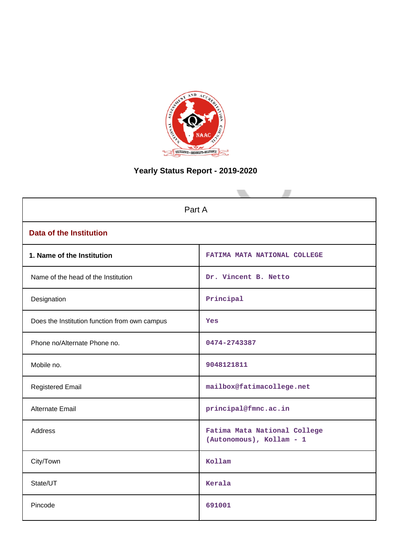

# **Yearly Status Report - 2019-2020**

| Part A                                        |                                                          |  |  |  |
|-----------------------------------------------|----------------------------------------------------------|--|--|--|
| <b>Data of the Institution</b>                |                                                          |  |  |  |
| 1. Name of the Institution                    | FATIMA MATA NATIONAL COLLEGE                             |  |  |  |
| Name of the head of the Institution           | Dr. Vincent B. Netto                                     |  |  |  |
| Designation                                   | Principal                                                |  |  |  |
| Does the Institution function from own campus | Yes                                                      |  |  |  |
| Phone no/Alternate Phone no.                  | 0474-2743387                                             |  |  |  |
| Mobile no.                                    | 9048121811                                               |  |  |  |
| <b>Registered Email</b>                       | mailbox@fatimacollege.net                                |  |  |  |
| <b>Alternate Email</b>                        | principal@fmnc.ac.in                                     |  |  |  |
| <b>Address</b>                                | Fatima Mata National College<br>(Autonomous), Kollam - 1 |  |  |  |
| City/Town                                     | Kollam                                                   |  |  |  |
| State/UT                                      | Kerala                                                   |  |  |  |
| Pincode                                       | 691001                                                   |  |  |  |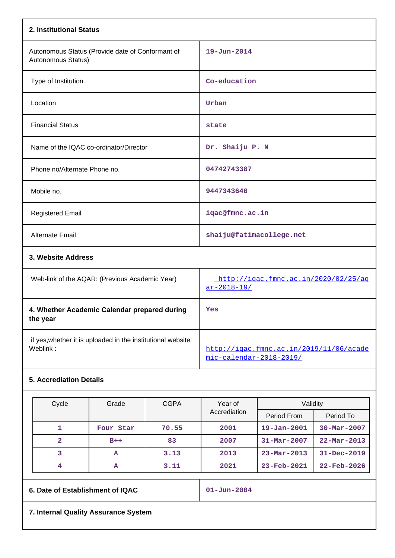| 2. Institutional Status                                                  |                                                                    |
|--------------------------------------------------------------------------|--------------------------------------------------------------------|
| Autonomous Status (Provide date of Conformant of<br>Autonomous Status)   | $19 - Jun - 2014$                                                  |
| Type of Institution                                                      | Co-education                                                       |
| Location                                                                 | Urban                                                              |
| <b>Financial Status</b>                                                  | state                                                              |
| Name of the IQAC co-ordinator/Director                                   | Dr. Shaiju P. N                                                    |
| Phone no/Alternate Phone no.                                             | 04742743387                                                        |
| Mobile no.                                                               | 9447343640                                                         |
| <b>Registered Email</b>                                                  | iqac@fmnc.ac.in                                                    |
| <b>Alternate Email</b>                                                   | shaiju@fatimacollege.net                                           |
| 3. Website Address                                                       |                                                                    |
| Web-link of the AQAR: (Previous Academic Year)                           | http://igac.fmnc.ac.in/2020/02/25/ag<br>$ar - 2018 - 19/$          |
| 4. Whether Academic Calendar prepared during<br>the year                 | Yes                                                                |
| if yes, whether it is uploaded in the institutional website:<br>Weblink: | http://igac.fmnc.ac.in/2019/11/06/acade<br>mic-calendar-2018-2019/ |

# **5. Accrediation Details**

| Cycle | Grade     | <b>CGPA</b> | Year of      | Validity                 |                          |  |
|-------|-----------|-------------|--------------|--------------------------|--------------------------|--|
|       |           |             | Accrediation | Period From              | Period To                |  |
|       | Four Star | 70.55       | 2001         | $19 - Jan - 2001$        | $30 - \text{Mar} - 2007$ |  |
|       | $B++$     | 83          | 2007         | $31 - Mar - 2007$        | $22 - \text{Mar} - 2013$ |  |
|       | А         | 3.13        | 2013         | $23 - \text{Mar} - 2013$ | $31 - Dec - 2019$        |  |
|       | А         | 3.11        | 2021         | 23-Feb-2021              | $22 - \text{Feb} - 2026$ |  |

|  | 6. Date of Establishment of IQAC<br>$01 - Jun - 2004$ |  |
|--|-------------------------------------------------------|--|
|--|-------------------------------------------------------|--|

**7. Internal Quality Assurance System**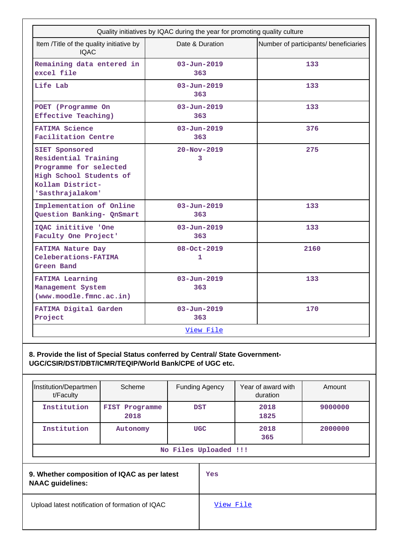| Quality initiatives by IQAC during the year for promoting quality culture                                                           |                             |                                       |  |  |  |  |
|-------------------------------------------------------------------------------------------------------------------------------------|-----------------------------|---------------------------------------|--|--|--|--|
| Item /Title of the quality initiative by<br><b>IOAC</b>                                                                             | Date & Duration             | Number of participants/ beneficiaries |  |  |  |  |
| Remaining data entered in<br>excel file                                                                                             | $03 - Jun - 2019$<br>363    | 133                                   |  |  |  |  |
| Life Lab                                                                                                                            | $03 - Jun - 2019$<br>363    | 133                                   |  |  |  |  |
| POET (Programme On<br>Effective Teaching)                                                                                           | $03 - Jun - 2019$<br>363    | 133                                   |  |  |  |  |
| <b>FATIMA Science</b><br>Facilitation Centre                                                                                        | $03 - Jun - 2019$<br>363    | 376                                   |  |  |  |  |
| SIET Sponsored<br>Residential Training<br>Programme for selected<br>High School Students of<br>Kollam District-<br>'Sasthrajalakom' | $20 - Nov - 2019$<br>3      | 275                                   |  |  |  |  |
| Implementation of Online<br>Question Banking- QnSmart                                                                               | $03 - Jun - 2019$<br>363    | 133                                   |  |  |  |  |
| IQAC inititive 'One<br>Faculty One Project'                                                                                         | $03 - Jun - 2019$<br>363    | 133                                   |  |  |  |  |
| <b>FATIMA Nature Day</b><br>Celeberations-FATIMA<br>Green Band                                                                      | 08-Oct-2019<br>$\mathbf{1}$ | 2160                                  |  |  |  |  |
| <b>FATIMA Learning</b><br>Management System<br>(www.moodle.fmnc.ac.in)                                                              | $03 - Jun - 2019$<br>363    | 133                                   |  |  |  |  |
| FATIMA Digital Garden<br>Project                                                                                                    | $03 - Jun - 2019$<br>363    | 170                                   |  |  |  |  |
|                                                                                                                                     | View File                   |                                       |  |  |  |  |

**8. Provide the list of Special Status conferred by Central/ State Government-UGC/CSIR/DST/DBT/ICMR/TEQIP/World Bank/CPE of UGC etc.**

| Institution/Departmen<br>t/Faculty                                      | Scheme                 | <b>Funding Agency</b> | Year of award with<br>duration | Amount  |
|-------------------------------------------------------------------------|------------------------|-----------------------|--------------------------------|---------|
| Institution                                                             | FIST Programme<br>2018 | <b>DST</b>            | 2018<br>1825                   | 9000000 |
| Institution                                                             | Autonomy               | <b>UGC</b>            | 2018<br>365                    | 2000000 |
|                                                                         |                        | No Files Uploaded !!! |                                |         |
| 9. Whether composition of IQAC as per latest<br><b>NAAC</b> guidelines: |                        | Yes                   |                                |         |
| Upload latest notification of formation of IQAC                         |                        | View File             |                                |         |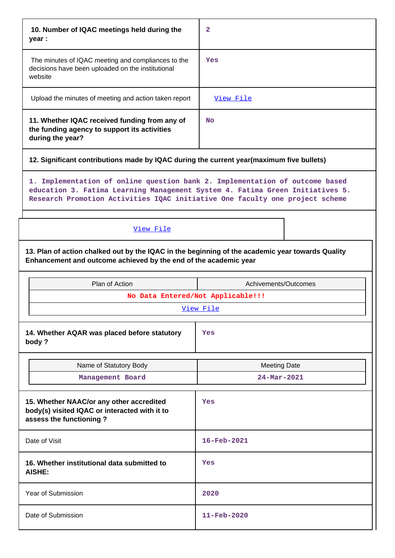| 10. Number of IQAC meetings held during the<br>year :                                                                                                                | 2                                                                                                                                                                                                                                             |
|----------------------------------------------------------------------------------------------------------------------------------------------------------------------|-----------------------------------------------------------------------------------------------------------------------------------------------------------------------------------------------------------------------------------------------|
| The minutes of IQAC meeting and compliances to the<br>decisions have been uploaded on the institutional<br>website                                                   | Yes                                                                                                                                                                                                                                           |
| Upload the minutes of meeting and action taken report                                                                                                                | View File                                                                                                                                                                                                                                     |
| 11. Whether IQAC received funding from any of<br>the funding agency to support its activities<br>during the year?                                                    | <b>No</b>                                                                                                                                                                                                                                     |
| 12. Significant contributions made by IQAC during the current year(maximum five bullets)                                                                             |                                                                                                                                                                                                                                               |
|                                                                                                                                                                      | 1. Implementation of online question bank 2. Implementation of outcome based<br>education 3. Fatima Learning Management System 4. Fatima Green Initiatives 5.<br>Research Promotion Activities IQAC initiative One faculty one project scheme |
| View File                                                                                                                                                            |                                                                                                                                                                                                                                               |
| 13. Plan of action chalked out by the IQAC in the beginning of the academic year towards Quality<br>Enhancement and outcome achieved by the end of the academic year |                                                                                                                                                                                                                                               |
|                                                                                                                                                                      |                                                                                                                                                                                                                                               |
| Plan of Action                                                                                                                                                       | Achivements/Outcomes                                                                                                                                                                                                                          |
|                                                                                                                                                                      | No Data Entered/Not Applicable!!!                                                                                                                                                                                                             |
|                                                                                                                                                                      | View File                                                                                                                                                                                                                                     |
| 14. Whether AQAR was placed before statutory<br>body?                                                                                                                | Yes                                                                                                                                                                                                                                           |
| Name of Statutory Body                                                                                                                                               | <b>Meeting Date</b>                                                                                                                                                                                                                           |
| Management Board                                                                                                                                                     | 24-Mar-2021                                                                                                                                                                                                                                   |
| 15. Whether NAAC/or any other accredited<br>body(s) visited IQAC or interacted with it to<br>assess the functioning?                                                 | Yes                                                                                                                                                                                                                                           |
| Date of Visit                                                                                                                                                        | 16-Feb-2021                                                                                                                                                                                                                                   |
| 16. Whether institutional data submitted to<br><b>AISHE:</b>                                                                                                         | Yes                                                                                                                                                                                                                                           |
| Year of Submission                                                                                                                                                   | 2020                                                                                                                                                                                                                                          |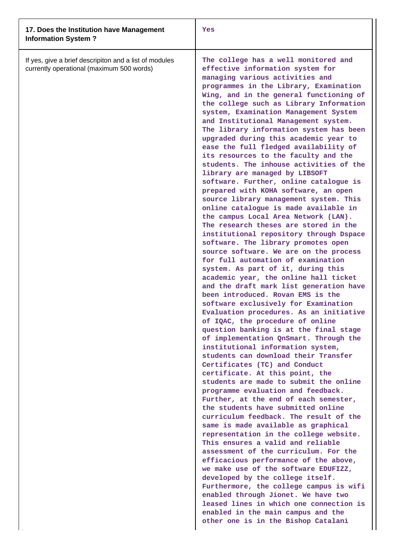| 17. Does the Institution have Management<br><b>Information System?</b>                              | Yes                                                                                                                                                                                                                                                                                                                                                                                                                                                                                                                                                                                                                                                                                                                                                                                                                                                                                                                                                                                                                                                                                                                                                                                                                                                                                                                                                                                                                                                                                                                                                                                                                                                                                                                                                                                                                                                                                                                                                                                                                                                                                                                                                                                                                                      |
|-----------------------------------------------------------------------------------------------------|------------------------------------------------------------------------------------------------------------------------------------------------------------------------------------------------------------------------------------------------------------------------------------------------------------------------------------------------------------------------------------------------------------------------------------------------------------------------------------------------------------------------------------------------------------------------------------------------------------------------------------------------------------------------------------------------------------------------------------------------------------------------------------------------------------------------------------------------------------------------------------------------------------------------------------------------------------------------------------------------------------------------------------------------------------------------------------------------------------------------------------------------------------------------------------------------------------------------------------------------------------------------------------------------------------------------------------------------------------------------------------------------------------------------------------------------------------------------------------------------------------------------------------------------------------------------------------------------------------------------------------------------------------------------------------------------------------------------------------------------------------------------------------------------------------------------------------------------------------------------------------------------------------------------------------------------------------------------------------------------------------------------------------------------------------------------------------------------------------------------------------------------------------------------------------------------------------------------------------------|
| If yes, give a brief descripiton and a list of modules<br>currently operational (maximum 500 words) | The college has a well monitored and<br>effective information system for<br>managing various activities and<br>programmes in the Library, Examination<br>Wing, and in the general functioning of<br>the college such as Library Information<br>system, Examination Management System<br>and Institutional Management system.<br>The library information system has been<br>upgraded during this academic year to<br>ease the full fledged availability of<br>its resources to the faculty and the<br>students. The inhouse activities of the<br>library are managed by LIBSOFT<br>software. Further, online catalogue is<br>prepared with KOHA software, an open<br>source library management system. This<br>online catalogue is made available in<br>the campus Local Area Network (LAN).<br>The research theses are stored in the<br>institutional repository through Dspace<br>software. The library promotes open<br>source software. We are on the process<br>for full automation of examination<br>system. As part of it, during this<br>academic year, the online hall ticket<br>and the draft mark list generation have<br>been introduced. Rovan EMS is the<br>software exclusively for Examination<br>Evaluation procedures. As an initiative<br>of IQAC, the procedure of online<br>question banking is at the final stage<br>of implementation QnSmart. Through the<br>institutional information system,<br>students can download their Transfer<br>Certificates (TC) and Conduct<br>certificate. At this point, the<br>students are made to submit the online<br>programme evaluation and feedback.<br>Further, at the end of each semester,<br>the students have submitted online<br>curriculum feedback. The result of the<br>same is made available as graphical<br>representation in the college website.<br>This ensures a valid and reliable<br>assessment of the curriculum. For the<br>efficacious performance of the above,<br>we make use of the software EDUFIZZ,<br>developed by the college itself.<br>Furthermore, the college campus is wifi<br>enabled through Jionet. We have two<br>leased lines in which one connection is<br>enabled in the main campus and the<br>other one is in the Bishop Catalani |
|                                                                                                     |                                                                                                                                                                                                                                                                                                                                                                                                                                                                                                                                                                                                                                                                                                                                                                                                                                                                                                                                                                                                                                                                                                                                                                                                                                                                                                                                                                                                                                                                                                                                                                                                                                                                                                                                                                                                                                                                                                                                                                                                                                                                                                                                                                                                                                          |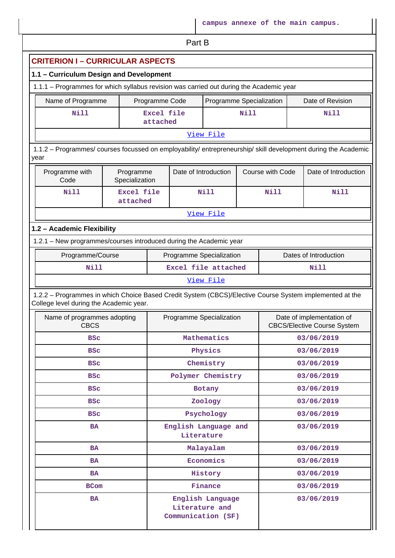Part B

|                                                                                                                                                    | 1.1 - Curriculum Design and Development |  |                      |                          |             |                  |  |                                                                 |  |
|----------------------------------------------------------------------------------------------------------------------------------------------------|-----------------------------------------|--|----------------------|--------------------------|-------------|------------------|--|-----------------------------------------------------------------|--|
| 1.1.1 - Programmes for which syllabus revision was carried out during the Academic year                                                            |                                         |  |                      |                          |             |                  |  |                                                                 |  |
| Name of Programme<br>Programme Code<br>Programme Specialization<br>Date of Revision                                                                |                                         |  |                      |                          |             |                  |  |                                                                 |  |
| <b>Nill</b>                                                                                                                                        | Excel file<br>attached                  |  | Nill                 |                          |             | <b>Nill</b>      |  |                                                                 |  |
| View File                                                                                                                                          |                                         |  |                      |                          |             |                  |  |                                                                 |  |
| 1.1.2 - Programmes/ courses focussed on employability/ entrepreneurship/ skill development during the Academic<br>year                             |                                         |  |                      |                          |             |                  |  |                                                                 |  |
| Programme with<br>Code                                                                                                                             | Programme<br>Specialization             |  | Date of Introduction |                          |             | Course with Code |  | Date of Introduction                                            |  |
| <b>Nill</b>                                                                                                                                        | Excel file<br>attached                  |  |                      | <b>Nill</b>              |             | Nill             |  | Nill                                                            |  |
|                                                                                                                                                    |                                         |  |                      | View File                |             |                  |  |                                                                 |  |
| 1.2 - Academic Flexibility                                                                                                                         |                                         |  |                      |                          |             |                  |  |                                                                 |  |
| 1.2.1 - New programmes/courses introduced during the Academic year                                                                                 |                                         |  |                      |                          |             |                  |  |                                                                 |  |
| Programme/Course                                                                                                                                   |                                         |  |                      | Programme Specialization |             |                  |  | Dates of Introduction                                           |  |
| <b>Nill</b>                                                                                                                                        |                                         |  | Excel file attached  |                          | <b>Nill</b> |                  |  |                                                                 |  |
|                                                                                                                                                    |                                         |  |                      |                          |             |                  |  |                                                                 |  |
|                                                                                                                                                    |                                         |  |                      | View File                |             |                  |  |                                                                 |  |
| 1.2.2 - Programmes in which Choice Based Credit System (CBCS)/Elective Course System implemented at the<br>College level during the Academic year. |                                         |  |                      |                          |             |                  |  |                                                                 |  |
| Name of programmes adopting<br><b>CBCS</b>                                                                                                         |                                         |  |                      | Programme Specialization |             |                  |  | Date of implementation of<br><b>CBCS/Elective Course System</b> |  |
| <b>BSC</b>                                                                                                                                         |                                         |  |                      | Mathematics              |             |                  |  | 03/06/2019                                                      |  |
| <b>BSC</b>                                                                                                                                         |                                         |  |                      | Physics                  |             |                  |  | 03/06/2019                                                      |  |
| <b>BSC</b>                                                                                                                                         |                                         |  |                      | Chemistry                |             |                  |  | 03/06/2019                                                      |  |
| <b>BSC</b>                                                                                                                                         |                                         |  |                      | Polymer Chemistry        |             |                  |  | 03/06/2019                                                      |  |
| <b>BSC</b>                                                                                                                                         |                                         |  |                      | Botany                   |             |                  |  | 03/06/2019                                                      |  |
| <b>BSC</b>                                                                                                                                         |                                         |  |                      | Zoology                  |             |                  |  | 03/06/2019                                                      |  |
| <b>BSC</b>                                                                                                                                         |                                         |  |                      | Psychology               |             |                  |  | 03/06/2019                                                      |  |
| <b>BA</b>                                                                                                                                          |                                         |  | Literature           | English Language and     |             |                  |  | 03/06/2019                                                      |  |
| <b>BA</b>                                                                                                                                          |                                         |  |                      | Malayalam                |             |                  |  | 03/06/2019                                                      |  |
| BA                                                                                                                                                 |                                         |  |                      | Economics                |             |                  |  | 03/06/2019                                                      |  |
| <b>BA</b>                                                                                                                                          |                                         |  |                      | History                  |             |                  |  | 03/06/2019                                                      |  |
| <b>BCom</b>                                                                                                                                        |                                         |  |                      | Finance                  |             |                  |  | 03/06/2019                                                      |  |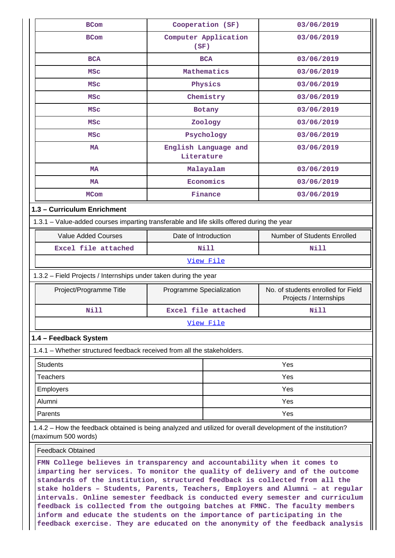| <b>BCom</b>                                                                                                                                                                                                                                                                                                                | Cooperation (SF)                   | 03/06/2019                                                   |  |  |  |
|----------------------------------------------------------------------------------------------------------------------------------------------------------------------------------------------------------------------------------------------------------------------------------------------------------------------------|------------------------------------|--------------------------------------------------------------|--|--|--|
| <b>BCom</b>                                                                                                                                                                                                                                                                                                                | Computer Application<br>(SF)       | 03/06/2019                                                   |  |  |  |
| <b>BCA</b>                                                                                                                                                                                                                                                                                                                 | <b>BCA</b>                         | 03/06/2019                                                   |  |  |  |
| <b>MSC</b>                                                                                                                                                                                                                                                                                                                 | Mathematics                        | 03/06/2019                                                   |  |  |  |
| <b>MSC</b>                                                                                                                                                                                                                                                                                                                 | Physics                            | 03/06/2019                                                   |  |  |  |
| <b>MSC</b>                                                                                                                                                                                                                                                                                                                 | Chemistry                          | 03/06/2019                                                   |  |  |  |
| <b>MSC</b>                                                                                                                                                                                                                                                                                                                 | Botany                             | 03/06/2019                                                   |  |  |  |
| <b>MSC</b>                                                                                                                                                                                                                                                                                                                 | Zoology                            | 03/06/2019                                                   |  |  |  |
| <b>MSC</b>                                                                                                                                                                                                                                                                                                                 | Psychology                         | 03/06/2019                                                   |  |  |  |
| <b>MA</b>                                                                                                                                                                                                                                                                                                                  | English Language and<br>Literature | 03/06/2019                                                   |  |  |  |
| <b>MA</b>                                                                                                                                                                                                                                                                                                                  | Malayalam                          | 03/06/2019                                                   |  |  |  |
| МA                                                                                                                                                                                                                                                                                                                         | Economics                          | 03/06/2019                                                   |  |  |  |
| <b>MCom</b>                                                                                                                                                                                                                                                                                                                | Finance                            | 03/06/2019                                                   |  |  |  |
| 1.3 - Curriculum Enrichment                                                                                                                                                                                                                                                                                                |                                    |                                                              |  |  |  |
| 1.3.1 - Value-added courses imparting transferable and life skills offered during the year                                                                                                                                                                                                                                 |                                    |                                                              |  |  |  |
| <b>Value Added Courses</b>                                                                                                                                                                                                                                                                                                 | Date of Introduction               | Number of Students Enrolled                                  |  |  |  |
| Excel file attached                                                                                                                                                                                                                                                                                                        | <b>Nill</b>                        | Nill                                                         |  |  |  |
|                                                                                                                                                                                                                                                                                                                            | View File                          |                                                              |  |  |  |
| 1.3.2 - Field Projects / Internships under taken during the year                                                                                                                                                                                                                                                           |                                    |                                                              |  |  |  |
| Project/Programme Title                                                                                                                                                                                                                                                                                                    | Programme Specialization           | No. of students enrolled for Field<br>Projects / Internships |  |  |  |
| <b>Nill</b>                                                                                                                                                                                                                                                                                                                | Excel file attached                | Nill                                                         |  |  |  |
|                                                                                                                                                                                                                                                                                                                            | View File                          |                                                              |  |  |  |
| 1.4 - Feedback System                                                                                                                                                                                                                                                                                                      |                                    |                                                              |  |  |  |
| 1.4.1 – Whether structured feedback received from all the stakeholders.                                                                                                                                                                                                                                                    |                                    |                                                              |  |  |  |
| <b>Students</b>                                                                                                                                                                                                                                                                                                            |                                    | Yes                                                          |  |  |  |
| <b>Teachers</b>                                                                                                                                                                                                                                                                                                            |                                    | Yes                                                          |  |  |  |
| Employers                                                                                                                                                                                                                                                                                                                  |                                    | Yes                                                          |  |  |  |
| Alumni                                                                                                                                                                                                                                                                                                                     |                                    | Yes                                                          |  |  |  |
| Parents                                                                                                                                                                                                                                                                                                                    |                                    | Yes                                                          |  |  |  |
| 1.4.2 - How the feedback obtained is being analyzed and utilized for overall development of the institution?<br>(maximum 500 words)                                                                                                                                                                                        |                                    |                                                              |  |  |  |
| <b>Feedback Obtained</b>                                                                                                                                                                                                                                                                                                   |                                    |                                                              |  |  |  |
| FMN College believes in transparency and accountability when it comes to<br>imparting her services. To monitor the quality of delivery and of the outcome<br>standards of the institution, structured feedback is collected from all the<br>stake holders - Students, Parents, Teachers, Employers and Alumni - at regular |                                    |                                                              |  |  |  |

**stake holders – Students, Parents, Teachers, Employers and Alumni – at regular intervals. Online semester feedback is conducted every semester and curriculum feedback is collected from the outgoing batches at FMNC. The faculty members inform and educate the students on the importance of participating in the feedback exercise. They are educated on the anonymity of the feedback analysis**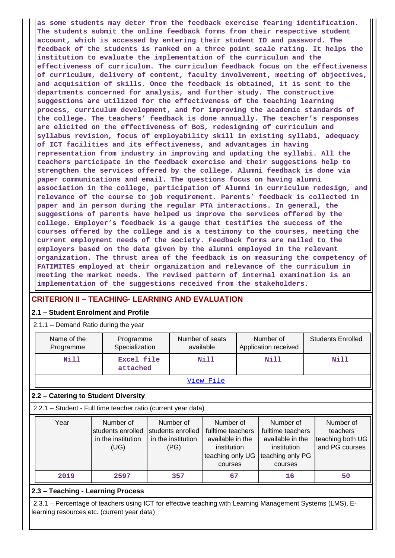**as some students may deter from the feedback exercise fearing identification. The students submit the online feedback forms from their respective student account, which is accessed by entering their student ID and password. The feedback of the students is ranked on a three point scale rating. It helps the institution to evaluate the implementation of the curriculum and the effectiveness of curriculum. The curriculum feedback focus on the effectiveness of curriculum, delivery of content, faculty involvement, meeting of objectives, and acquisition of skills. Once the feedback is obtained, it is sent to the departments concerned for analysis, and further study. The constructive suggestions are utilized for the effectiveness of the teaching learning process, curriculum development, and for improving the academic standards of the college. The teachers' feedback is done annually. The teacher's responses are elicited on the effectiveness of BoS, redesigning of curriculum and syllabus revision, focus of employability skill in existing syllabi, adequacy of ICT facilities and its effectiveness, and advantages in having representation from industry in improving and updating the syllabi. All the teachers participate in the feedback exercise and their suggestions help to strengthen the services offered by the college. Alumni feedback is done via paper communications and email. The questions focus on having alumni association in the college, participation of Alumni in curriculum redesign, and relevance of the course to job requirement. Parents' feedback is collected in paper and in person during the regular PTA interactions. In general, the suggestions of parents have helped us improve the services offered by the college. Employer's feedback is a gauge that testifies the success of the courses offered by the college and is a testimony to the courses, meeting the current employment needs of the society. Feedback forms are mailed to the employers based on the data given by the alumni employed in the relevant organization. The thrust area of the feedback is on measuring the competency of FATIMITES employed at their organization and relevance of the curriculum in meeting the market needs. The revised pattern of internal examination is an implementation of the suggestions received from the stakeholders.**

# **CRITERION II – TEACHING- LEARNING AND EVALUATION**

## **2.1 – Student Enrolment and Profile**

2.1.1 – Demand Ratio during the year

| $2.1.1 -$ Demand Ratio during the year |                             |                              |                                   |                          |  |  |  |  |
|----------------------------------------|-----------------------------|------------------------------|-----------------------------------|--------------------------|--|--|--|--|
| Name of the<br>Programme               | Programme<br>Specialization | Number of seats<br>available | Number of<br>Application received | <b>Students Enrolled</b> |  |  |  |  |
| Nill                                   | Excel file<br>attached      | Nill                         | Nill                              | <b>Nill</b>              |  |  |  |  |
|                                        |                             | View File                    |                                   |                          |  |  |  |  |

# **2.2 – Catering to Student Diversity**

2.2.1 – Student - Full time teacher ratio (current year data)

| Year | Number of          | Number of          | Number of                           | Number of         | Number of        |
|------|--------------------|--------------------|-------------------------------------|-------------------|------------------|
|      | students enrolled  | students enrolled  | fulltime teachers                   | fulltime teachers | teachers         |
|      | in the institution | in the institution | available in the                    | available in the  | teaching both UG |
|      | (UG)               | (PG)               | institution                         | institution       | and PG courses   |
|      |                    |                    | teaching only UG   teaching only PG |                   |                  |
|      |                    |                    | courses                             | courses           |                  |
| 2019 | 2597               | 357                | 67                                  | 16                | 50               |

## **2.3 – Teaching - Learning Process**

 2.3.1 – Percentage of teachers using ICT for effective teaching with Learning Management Systems (LMS), Elearning resources etc. (current year data)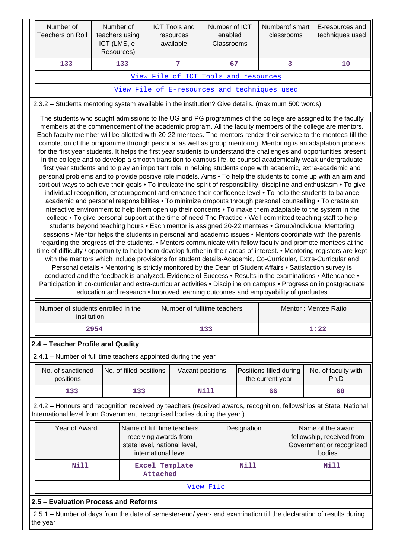| Number of<br><b>Teachers on Roll</b>                                                                                                                                                                                                                                                                                                                                                                                                                                                                                                                                                                                                                                                                                                                                                                                                                                                                                                                                                                                                                                                                                                                                                                                                                                                                                                                                                                                                                                                                                                                                                                                                                                                                                                                                                                                                                                                                                                                                                                                                                                                                                                                                                                                                                                                                                                                                                                                                                                                                                                                                                                                                   | Number of<br>teachers using<br>ICT (LMS, e-<br>Resources) |                         |          | <b>ICT Tools and</b><br>resources<br>available | Number of ICT<br>enabled<br>Classrooms |  | Numberof smart<br>classrooms                |                                                                                       | E-resources and<br>techniques used                                                                                  |  |
|----------------------------------------------------------------------------------------------------------------------------------------------------------------------------------------------------------------------------------------------------------------------------------------------------------------------------------------------------------------------------------------------------------------------------------------------------------------------------------------------------------------------------------------------------------------------------------------------------------------------------------------------------------------------------------------------------------------------------------------------------------------------------------------------------------------------------------------------------------------------------------------------------------------------------------------------------------------------------------------------------------------------------------------------------------------------------------------------------------------------------------------------------------------------------------------------------------------------------------------------------------------------------------------------------------------------------------------------------------------------------------------------------------------------------------------------------------------------------------------------------------------------------------------------------------------------------------------------------------------------------------------------------------------------------------------------------------------------------------------------------------------------------------------------------------------------------------------------------------------------------------------------------------------------------------------------------------------------------------------------------------------------------------------------------------------------------------------------------------------------------------------------------------------------------------------------------------------------------------------------------------------------------------------------------------------------------------------------------------------------------------------------------------------------------------------------------------------------------------------------------------------------------------------------------------------------------------------------------------------------------------------|-----------------------------------------------------------|-------------------------|----------|------------------------------------------------|----------------------------------------|--|---------------------------------------------|---------------------------------------------------------------------------------------|---------------------------------------------------------------------------------------------------------------------|--|
| 133                                                                                                                                                                                                                                                                                                                                                                                                                                                                                                                                                                                                                                                                                                                                                                                                                                                                                                                                                                                                                                                                                                                                                                                                                                                                                                                                                                                                                                                                                                                                                                                                                                                                                                                                                                                                                                                                                                                                                                                                                                                                                                                                                                                                                                                                                                                                                                                                                                                                                                                                                                                                                                    |                                                           | 133                     |          | 7                                              | 67                                     |  |                                             | 3                                                                                     | 10                                                                                                                  |  |
|                                                                                                                                                                                                                                                                                                                                                                                                                                                                                                                                                                                                                                                                                                                                                                                                                                                                                                                                                                                                                                                                                                                                                                                                                                                                                                                                                                                                                                                                                                                                                                                                                                                                                                                                                                                                                                                                                                                                                                                                                                                                                                                                                                                                                                                                                                                                                                                                                                                                                                                                                                                                                                        |                                                           |                         |          | View File of ICT Tools and resources           |                                        |  |                                             |                                                                                       |                                                                                                                     |  |
|                                                                                                                                                                                                                                                                                                                                                                                                                                                                                                                                                                                                                                                                                                                                                                                                                                                                                                                                                                                                                                                                                                                                                                                                                                                                                                                                                                                                                                                                                                                                                                                                                                                                                                                                                                                                                                                                                                                                                                                                                                                                                                                                                                                                                                                                                                                                                                                                                                                                                                                                                                                                                                        |                                                           |                         |          | View File of E-resources and techniques used   |                                        |  |                                             |                                                                                       |                                                                                                                     |  |
| 2.3.2 - Students mentoring system available in the institution? Give details. (maximum 500 words)                                                                                                                                                                                                                                                                                                                                                                                                                                                                                                                                                                                                                                                                                                                                                                                                                                                                                                                                                                                                                                                                                                                                                                                                                                                                                                                                                                                                                                                                                                                                                                                                                                                                                                                                                                                                                                                                                                                                                                                                                                                                                                                                                                                                                                                                                                                                                                                                                                                                                                                                      |                                                           |                         |          |                                                |                                        |  |                                             |                                                                                       |                                                                                                                     |  |
| The students who sought admissions to the UG and PG programmes of the college are assigned to the faculty<br>members at the commencement of the academic program. All the faculty members of the college are mentors.<br>Each faculty member will be allotted with 20-22 mentees. The mentors render their service to the mentees till the<br>completion of the programme through personal as well as group mentoring. Mentoring is an adaptation process<br>for the first year students. It helps the first year students to understand the challenges and opportunities present<br>in the college and to develop a smooth transition to campus life, to counsel academically weak undergraduate<br>first year students and to play an important role in helping students cope with academic, extra-academic and<br>personal problems and to provide positive role models. Aims . To help the students to come up with an aim and<br>sort out ways to achieve their goals • To inculcate the spirit of responsibility, discipline and enthusiasm • To give<br>individual recognition, encouragement and enhance their confidence level • To help the students to balance<br>academic and personal responsibilities • To minimize dropouts through personal counselling • To create an<br>interactive environment to help them open up their concerns • To make them adaptable to the system in the<br>college • To give personal support at the time of need The Practice • Well-committed teaching staff to help<br>students beyond teaching hours • Each mentor is assigned 20-22 mentees • Group/Individual Mentoring<br>sessions • Mentor helps the students in personal and academic issues • Mentors coordinate with the parents<br>regarding the progress of the students. • Mentors communicate with fellow faculty and promote mentees at the<br>time of difficulty / opportunity to help them develop further in their areas of interest. • Mentoring registers are kept<br>with the mentors which include provisions for student details-Academic, Co-Curricular, Extra-Curricular and<br>Personal details • Mentoring is strictly monitored by the Dean of Student Affairs • Satisfaction survey is<br>conducted and the feedback is analyzed. Evidence of Success • Results in the examinations • Attendance •<br>Participation in co-curricular and extra-curricular activities • Discipline on campus • Progression in postgraduate<br>education and research • Improved learning outcomes and employability of graduates<br>Number of students enrolled in the<br>Number of fulltime teachers<br>Mentor: Mentee Ratio |                                                           |                         |          |                                                |                                        |  |                                             |                                                                                       |                                                                                                                     |  |
| institution                                                                                                                                                                                                                                                                                                                                                                                                                                                                                                                                                                                                                                                                                                                                                                                                                                                                                                                                                                                                                                                                                                                                                                                                                                                                                                                                                                                                                                                                                                                                                                                                                                                                                                                                                                                                                                                                                                                                                                                                                                                                                                                                                                                                                                                                                                                                                                                                                                                                                                                                                                                                                            |                                                           |                         |          |                                                |                                        |  |                                             |                                                                                       |                                                                                                                     |  |
|                                                                                                                                                                                                                                                                                                                                                                                                                                                                                                                                                                                                                                                                                                                                                                                                                                                                                                                                                                                                                                                                                                                                                                                                                                                                                                                                                                                                                                                                                                                                                                                                                                                                                                                                                                                                                                                                                                                                                                                                                                                                                                                                                                                                                                                                                                                                                                                                                                                                                                                                                                                                                                        | 2954                                                      |                         |          |                                                | 133                                    |  |                                             |                                                                                       | 1:22                                                                                                                |  |
| 2.4 - Teacher Profile and Quality                                                                                                                                                                                                                                                                                                                                                                                                                                                                                                                                                                                                                                                                                                                                                                                                                                                                                                                                                                                                                                                                                                                                                                                                                                                                                                                                                                                                                                                                                                                                                                                                                                                                                                                                                                                                                                                                                                                                                                                                                                                                                                                                                                                                                                                                                                                                                                                                                                                                                                                                                                                                      |                                                           |                         |          |                                                |                                        |  |                                             |                                                                                       |                                                                                                                     |  |
| 2.4.1 - Number of full time teachers appointed during the year                                                                                                                                                                                                                                                                                                                                                                                                                                                                                                                                                                                                                                                                                                                                                                                                                                                                                                                                                                                                                                                                                                                                                                                                                                                                                                                                                                                                                                                                                                                                                                                                                                                                                                                                                                                                                                                                                                                                                                                                                                                                                                                                                                                                                                                                                                                                                                                                                                                                                                                                                                         |                                                           |                         |          |                                                |                                        |  |                                             |                                                                                       |                                                                                                                     |  |
| No. of sanctioned<br>positions                                                                                                                                                                                                                                                                                                                                                                                                                                                                                                                                                                                                                                                                                                                                                                                                                                                                                                                                                                                                                                                                                                                                                                                                                                                                                                                                                                                                                                                                                                                                                                                                                                                                                                                                                                                                                                                                                                                                                                                                                                                                                                                                                                                                                                                                                                                                                                                                                                                                                                                                                                                                         |                                                           | No. of filled positions |          | Vacant positions                               |                                        |  | Positions filled during<br>the current year |                                                                                       | No. of faculty with<br>Ph.D                                                                                         |  |
| 133                                                                                                                                                                                                                                                                                                                                                                                                                                                                                                                                                                                                                                                                                                                                                                                                                                                                                                                                                                                                                                                                                                                                                                                                                                                                                                                                                                                                                                                                                                                                                                                                                                                                                                                                                                                                                                                                                                                                                                                                                                                                                                                                                                                                                                                                                                                                                                                                                                                                                                                                                                                                                                    |                                                           | 133                     |          |                                                | <b>Nill</b>                            |  | 66                                          |                                                                                       | 60                                                                                                                  |  |
| International level from Government, recognised bodies during the year)                                                                                                                                                                                                                                                                                                                                                                                                                                                                                                                                                                                                                                                                                                                                                                                                                                                                                                                                                                                                                                                                                                                                                                                                                                                                                                                                                                                                                                                                                                                                                                                                                                                                                                                                                                                                                                                                                                                                                                                                                                                                                                                                                                                                                                                                                                                                                                                                                                                                                                                                                                |                                                           |                         |          |                                                |                                        |  |                                             |                                                                                       | 2.4.2 - Honours and recognition received by teachers (received awards, recognition, fellowships at State, National, |  |
| Year of Award<br>Name of full time teachers<br>receiving awards from<br>state level, national level,<br>international level                                                                                                                                                                                                                                                                                                                                                                                                                                                                                                                                                                                                                                                                                                                                                                                                                                                                                                                                                                                                                                                                                                                                                                                                                                                                                                                                                                                                                                                                                                                                                                                                                                                                                                                                                                                                                                                                                                                                                                                                                                                                                                                                                                                                                                                                                                                                                                                                                                                                                                            |                                                           |                         |          |                                                | Designation                            |  |                                             | Name of the award,<br>fellowship, received from<br>Government or recognized<br>bodies |                                                                                                                     |  |
| <b>Nill</b>                                                                                                                                                                                                                                                                                                                                                                                                                                                                                                                                                                                                                                                                                                                                                                                                                                                                                                                                                                                                                                                                                                                                                                                                                                                                                                                                                                                                                                                                                                                                                                                                                                                                                                                                                                                                                                                                                                                                                                                                                                                                                                                                                                                                                                                                                                                                                                                                                                                                                                                                                                                                                            |                                                           |                         | Attached | <b>Excel Template</b>                          | Nill                                   |  |                                             | Nill                                                                                  |                                                                                                                     |  |
|                                                                                                                                                                                                                                                                                                                                                                                                                                                                                                                                                                                                                                                                                                                                                                                                                                                                                                                                                                                                                                                                                                                                                                                                                                                                                                                                                                                                                                                                                                                                                                                                                                                                                                                                                                                                                                                                                                                                                                                                                                                                                                                                                                                                                                                                                                                                                                                                                                                                                                                                                                                                                                        |                                                           |                         |          |                                                | View File                              |  |                                             |                                                                                       |                                                                                                                     |  |
| 2.5 - Evaluation Process and Reforms                                                                                                                                                                                                                                                                                                                                                                                                                                                                                                                                                                                                                                                                                                                                                                                                                                                                                                                                                                                                                                                                                                                                                                                                                                                                                                                                                                                                                                                                                                                                                                                                                                                                                                                                                                                                                                                                                                                                                                                                                                                                                                                                                                                                                                                                                                                                                                                                                                                                                                                                                                                                   |                                                           |                         |          |                                                |                                        |  |                                             |                                                                                       |                                                                                                                     |  |
| 2.5.1 – Number of days from the date of semester-end/ year- end examination till the declaration of results during<br>the year                                                                                                                                                                                                                                                                                                                                                                                                                                                                                                                                                                                                                                                                                                                                                                                                                                                                                                                                                                                                                                                                                                                                                                                                                                                                                                                                                                                                                                                                                                                                                                                                                                                                                                                                                                                                                                                                                                                                                                                                                                                                                                                                                                                                                                                                                                                                                                                                                                                                                                         |                                                           |                         |          |                                                |                                        |  |                                             |                                                                                       |                                                                                                                     |  |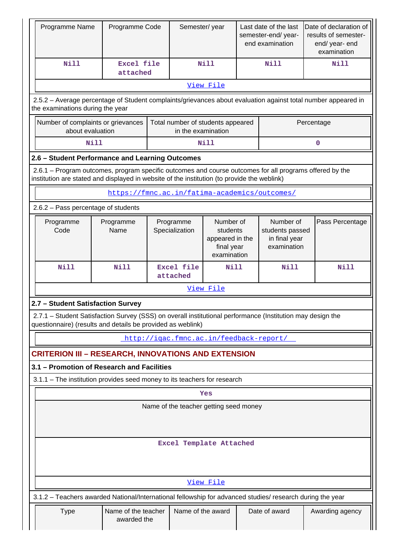| Programme Name                                                                                                                                                                                         | Programme Code                     |  | Semester/year                                                                                                                                                        |             |                 | Last date of the last<br>semester-end/year-<br>end examination | Date of declaration of<br>results of semester-<br>end/ year- end<br>examination                               |  |  |  |  |
|--------------------------------------------------------------------------------------------------------------------------------------------------------------------------------------------------------|------------------------------------|--|----------------------------------------------------------------------------------------------------------------------------------------------------------------------|-------------|-----------------|----------------------------------------------------------------|---------------------------------------------------------------------------------------------------------------|--|--|--|--|
| <b>Nill</b>                                                                                                                                                                                            | <b>Excel file</b><br>attached      |  |                                                                                                                                                                      | <b>Nill</b> |                 | <b>Nill</b>                                                    | <b>Nill</b>                                                                                                   |  |  |  |  |
|                                                                                                                                                                                                        |                                    |  |                                                                                                                                                                      | View File   |                 |                                                                |                                                                                                               |  |  |  |  |
| the examinations during the year                                                                                                                                                                       |                                    |  |                                                                                                                                                                      |             |                 |                                                                | 2.5.2 - Average percentage of Student complaints/grievances about evaluation against total number appeared in |  |  |  |  |
| Number of complaints or grievances<br>about evaluation                                                                                                                                                 |                                    |  | Total number of students appeared<br>in the examination                                                                                                              |             |                 |                                                                | Percentage                                                                                                    |  |  |  |  |
|                                                                                                                                                                                                        | <b>Nill</b><br>Nill<br>0           |  |                                                                                                                                                                      |             |                 |                                                                |                                                                                                               |  |  |  |  |
| 2.6 - Student Performance and Learning Outcomes                                                                                                                                                        |                                    |  |                                                                                                                                                                      |             |                 |                                                                |                                                                                                               |  |  |  |  |
| 2.6.1 – Program outcomes, program specific outcomes and course outcomes for all programs offered by the<br>institution are stated and displayed in website of the institution (to provide the weblink) |                                    |  |                                                                                                                                                                      |             |                 |                                                                |                                                                                                               |  |  |  |  |
| https://fmnc.ac.in/fatima-academics/outcomes/                                                                                                                                                          |                                    |  |                                                                                                                                                                      |             |                 |                                                                |                                                                                                               |  |  |  |  |
| 2.6.2 - Pass percentage of students                                                                                                                                                                    |                                    |  |                                                                                                                                                                      |             |                 |                                                                |                                                                                                               |  |  |  |  |
| Programme<br>Code                                                                                                                                                                                      | Programme<br>Name                  |  | Number of<br>Programme<br>Number of<br>Specialization<br>students<br>students passed<br>in final year<br>appeared in the<br>examination<br>final year<br>examination |             | Pass Percentage |                                                                |                                                                                                               |  |  |  |  |
| <b>Nill</b>                                                                                                                                                                                            | <b>Nill</b>                        |  | <b>Excel file</b><br>attached                                                                                                                                        | <b>Nill</b> |                 | <b>Nill</b>                                                    | <b>Nill</b>                                                                                                   |  |  |  |  |
|                                                                                                                                                                                                        | View File                          |  |                                                                                                                                                                      |             |                 |                                                                |                                                                                                               |  |  |  |  |
| 2.7 - Student Satisfaction Survey                                                                                                                                                                      |                                    |  |                                                                                                                                                                      |             |                 |                                                                |                                                                                                               |  |  |  |  |
| 2.7.1 - Student Satisfaction Survey (SSS) on overall institutional performance (Institution may design the<br>questionnaire) (results and details be provided as weblink)                              |                                    |  |                                                                                                                                                                      |             |                 |                                                                |                                                                                                               |  |  |  |  |
|                                                                                                                                                                                                        |                                    |  | http://igac.fmnc.ac.in/feedback-report/                                                                                                                              |             |                 |                                                                |                                                                                                               |  |  |  |  |
| <b>CRITERION III – RESEARCH, INNOVATIONS AND EXTENSION</b>                                                                                                                                             |                                    |  |                                                                                                                                                                      |             |                 |                                                                |                                                                                                               |  |  |  |  |
| 3.1 - Promotion of Research and Facilities                                                                                                                                                             |                                    |  |                                                                                                                                                                      |             |                 |                                                                |                                                                                                               |  |  |  |  |
| 3.1.1 - The institution provides seed money to its teachers for research                                                                                                                               |                                    |  |                                                                                                                                                                      |             |                 |                                                                |                                                                                                               |  |  |  |  |
|                                                                                                                                                                                                        |                                    |  |                                                                                                                                                                      | Yes         |                 |                                                                |                                                                                                               |  |  |  |  |
|                                                                                                                                                                                                        |                                    |  | Name of the teacher getting seed money                                                                                                                               |             |                 |                                                                |                                                                                                               |  |  |  |  |
|                                                                                                                                                                                                        |                                    |  | Excel Template Attached                                                                                                                                              |             |                 |                                                                |                                                                                                               |  |  |  |  |
|                                                                                                                                                                                                        |                                    |  |                                                                                                                                                                      | View File   |                 |                                                                |                                                                                                               |  |  |  |  |
| 3.1.2 - Teachers awarded National/International fellowship for advanced studies/ research during the year                                                                                              |                                    |  |                                                                                                                                                                      |             |                 |                                                                |                                                                                                               |  |  |  |  |
| <b>Type</b>                                                                                                                                                                                            | Name of the teacher<br>awarded the |  | Name of the award                                                                                                                                                    |             |                 | Date of award                                                  | Awarding agency                                                                                               |  |  |  |  |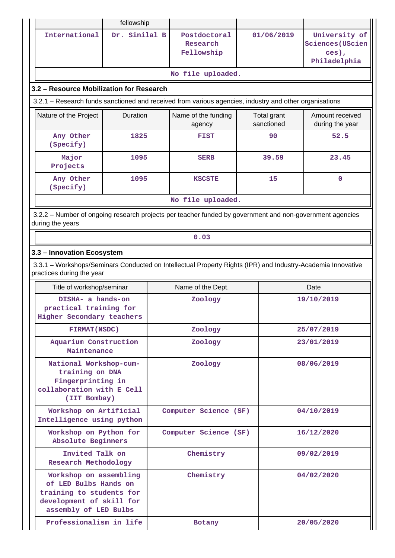|                                                                                                                                          | fellowship    |  |                                                                                                        |                           |                                    |                                                            |  |  |  |  |
|------------------------------------------------------------------------------------------------------------------------------------------|---------------|--|--------------------------------------------------------------------------------------------------------|---------------------------|------------------------------------|------------------------------------------------------------|--|--|--|--|
| International                                                                                                                            | Dr. Sinilal B |  | Postdoctoral<br>Research<br>Fellowship                                                                 | 01/06/2019                |                                    | University of<br>Sciences (UScien<br>ces),<br>Philadelphia |  |  |  |  |
|                                                                                                                                          |               |  | No file uploaded.                                                                                      |                           |                                    |                                                            |  |  |  |  |
| 3.2 - Resource Mobilization for Research                                                                                                 |               |  |                                                                                                        |                           |                                    |                                                            |  |  |  |  |
|                                                                                                                                          |               |  | 3.2.1 – Research funds sanctioned and received from various agencies, industry and other organisations |                           |                                    |                                                            |  |  |  |  |
| Nature of the Project                                                                                                                    | Duration      |  | Name of the funding<br>agency                                                                          | Total grant<br>sanctioned | Amount received<br>during the year |                                                            |  |  |  |  |
| Any Other<br>(Specify)                                                                                                                   | 1825          |  | <b>FIST</b>                                                                                            | 90                        |                                    | 52.5                                                       |  |  |  |  |
| Major<br>Projects                                                                                                                        | 1095          |  | <b>SERB</b>                                                                                            | 39.59                     |                                    | 23.45                                                      |  |  |  |  |
| Any Other<br>(Specify)                                                                                                                   | 1095          |  | <b>KSCSTE</b>                                                                                          | 15                        |                                    | $\mathbf 0$                                                |  |  |  |  |
|                                                                                                                                          |               |  | No file uploaded.                                                                                      |                           |                                    |                                                            |  |  |  |  |
| 3.2.2 - Number of ongoing research projects per teacher funded by government and non-government agencies<br>during the years             |               |  |                                                                                                        |                           |                                    |                                                            |  |  |  |  |
| 0.03                                                                                                                                     |               |  |                                                                                                        |                           |                                    |                                                            |  |  |  |  |
| 3.3 - Innovation Ecosystem                                                                                                               |               |  |                                                                                                        |                           |                                    |                                                            |  |  |  |  |
| 3.3.1 – Workshops/Seminars Conducted on Intellectual Property Rights (IPR) and Industry-Academia Innovative<br>practices during the year |               |  |                                                                                                        |                           |                                    |                                                            |  |  |  |  |
| Title of workshop/seminar                                                                                                                |               |  | Name of the Dept.                                                                                      |                           |                                    | Date                                                       |  |  |  |  |
| DISHA- a hands-on<br>practical training for<br>Higher Secondary teachers                                                                 |               |  | Zoology                                                                                                |                           | 19/10/2019                         |                                                            |  |  |  |  |
| FIRMAT(NSDC)                                                                                                                             |               |  | Zoology                                                                                                |                           | 25/07/2019                         |                                                            |  |  |  |  |
| Aquarium Construction<br>Maintenance                                                                                                     |               |  | Zoology                                                                                                |                           | 23/01/2019                         |                                                            |  |  |  |  |
| National Workshop-cum-<br>training on DNA<br>Fingerprinting in<br>collaboration with E Cell<br>(IIT Bombay)                              |               |  | Zoology                                                                                                |                           |                                    | 08/06/2019                                                 |  |  |  |  |
| Workshop on Artificial<br>Intelligence using python                                                                                      |               |  | Computer Science (SF)                                                                                  |                           |                                    | 04/10/2019                                                 |  |  |  |  |
| Workshop on Python for<br>Absolute Beginners                                                                                             |               |  | Computer Science (SF)                                                                                  |                           |                                    | 16/12/2020                                                 |  |  |  |  |
| Invited Talk on<br>Research Methodology                                                                                                  |               |  | Chemistry                                                                                              |                           |                                    | 09/02/2019                                                 |  |  |  |  |
| Workshop on assembling<br>of LED Bulbs Hands on<br>training to students for<br>development of skill for<br>assembly of LED Bulbs         |               |  | Chemistry                                                                                              |                           |                                    | 04/02/2020                                                 |  |  |  |  |
| Professionalism in life                                                                                                                  |               |  | Botany                                                                                                 |                           |                                    | 20/05/2020                                                 |  |  |  |  |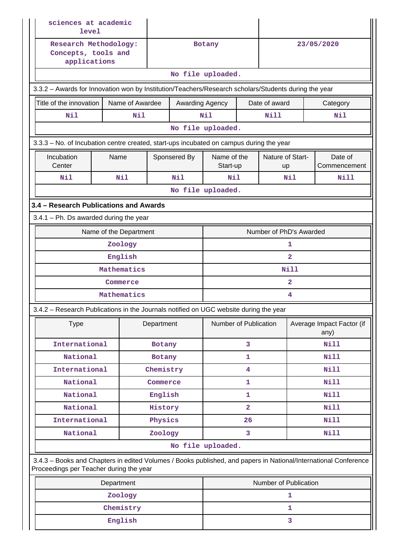| sciences at academic<br>level       |                                                                                                      |            |                         |                         |                         |                        |                |                                                                                                                 |
|-------------------------------------|------------------------------------------------------------------------------------------------------|------------|-------------------------|-------------------------|-------------------------|------------------------|----------------|-----------------------------------------------------------------------------------------------------------------|
| Concepts, tools and<br>applications | Research Methodology:                                                                                |            |                         | Botany                  |                         |                        |                | 23/05/2020                                                                                                      |
|                                     |                                                                                                      |            |                         | No file uploaded.       |                         |                        |                |                                                                                                                 |
|                                     | 3.3.2 - Awards for Innovation won by Institution/Teachers/Research scholars/Students during the year |            |                         |                         |                         |                        |                |                                                                                                                 |
| Title of the innovation             | Name of Awardee                                                                                      |            | Awarding Agency         |                         |                         | Date of award          |                | Category                                                                                                        |
| Nil                                 | Nil                                                                                                  |            |                         | Nil                     |                         | <b>Nill</b>            |                | Nil                                                                                                             |
|                                     |                                                                                                      |            |                         | No file uploaded.       |                         |                        |                |                                                                                                                 |
|                                     | 3.3.3 - No. of Incubation centre created, start-ups incubated on campus during the year              |            |                         |                         |                         |                        |                |                                                                                                                 |
| Incubation<br>Center                | Name                                                                                                 |            | Sponsered By            | Name of the<br>Start-up |                         | Nature of Start-<br>up |                | Date of<br>Commencement                                                                                         |
| Nil                                 | Nil                                                                                                  |            | Nil                     | Nil                     |                         |                        | Nil<br>Nill    |                                                                                                                 |
|                                     |                                                                                                      |            |                         | No file uploaded.       |                         |                        |                |                                                                                                                 |
|                                     | 3.4 - Research Publications and Awards                                                               |            |                         |                         |                         |                        |                |                                                                                                                 |
|                                     | $3.4.1$ – Ph. Ds awarded during the year                                                             |            |                         |                         |                         |                        |                |                                                                                                                 |
|                                     | Name of the Department                                                                               |            | Number of PhD's Awarded |                         |                         |                        |                |                                                                                                                 |
|                                     | Zoology                                                                                              |            |                         |                         |                         | 1                      |                |                                                                                                                 |
|                                     |                                                                                                      |            |                         |                         | $\overline{2}$          |                        |                |                                                                                                                 |
|                                     |                                                                                                      |            |                         |                         | <b>Nill</b>             |                        |                |                                                                                                                 |
|                                     | Commerce                                                                                             |            |                         |                         |                         |                        | $\overline{2}$ |                                                                                                                 |
|                                     | Mathematics                                                                                          |            |                         |                         |                         |                        | 4              |                                                                                                                 |
|                                     | 3.4.2 - Research Publications in the Journals notified on UGC website during the year                |            |                         |                         |                         |                        |                |                                                                                                                 |
| <b>Type</b>                         |                                                                                                      | Department |                         | Number of Publication   |                         |                        |                | Average Impact Factor (if<br>any)                                                                               |
| International                       |                                                                                                      | Botany     |                         |                         | 3                       |                        |                | Nill                                                                                                            |
| National                            |                                                                                                      | Botany     |                         |                         | 1                       |                        |                | Nill                                                                                                            |
| International                       |                                                                                                      | Chemistry  |                         |                         | 4                       |                        |                | Nill                                                                                                            |
| National                            |                                                                                                      | Commerce   |                         |                         | 1                       |                        |                | Nill                                                                                                            |
| National                            |                                                                                                      | English    |                         |                         | 1                       |                        |                | <b>Nill</b>                                                                                                     |
| National                            |                                                                                                      | History    |                         |                         | $\overline{\mathbf{2}}$ |                        |                | <b>Nill</b>                                                                                                     |
| International                       |                                                                                                      | Physics    |                         |                         | 26                      |                        |                | Nill                                                                                                            |
| National                            |                                                                                                      | Zoology    |                         |                         | 3                       |                        |                | Nill                                                                                                            |
|                                     | Proceedings per Teacher during the year                                                              |            |                         | No file uploaded.       |                         |                        |                | 3.4.3 - Books and Chapters in edited Volumes / Books published, and papers in National/International Conference |
|                                     | Department                                                                                           |            |                         |                         |                         | Number of Publication  |                |                                                                                                                 |
|                                     | Zoology                                                                                              |            |                         | 1                       |                         |                        |                |                                                                                                                 |
|                                     | Chemistry                                                                                            |            |                         |                         |                         |                        | 1              |                                                                                                                 |
|                                     | English                                                                                              |            |                         | 3                       |                         |                        |                |                                                                                                                 |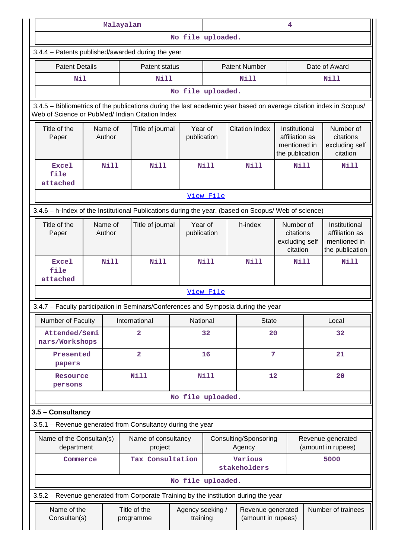|                                                                                                                                                                       |                   | Malayalam   |                                            |                                            | 4                            |                       |                                                    |                                                                    |               |                                                                    |
|-----------------------------------------------------------------------------------------------------------------------------------------------------------------------|-------------------|-------------|--------------------------------------------|--------------------------------------------|------------------------------|-----------------------|----------------------------------------------------|--------------------------------------------------------------------|---------------|--------------------------------------------------------------------|
|                                                                                                                                                                       |                   |             |                                            | No file uploaded.                          |                              |                       |                                                    |                                                                    |               |                                                                    |
| 3.4.4 - Patents published/awarded during the year                                                                                                                     |                   |             |                                            |                                            |                              |                       |                                                    |                                                                    |               |                                                                    |
| <b>Patent Details</b>                                                                                                                                                 |                   |             | Patent status                              |                                            | <b>Patent Number</b>         |                       |                                                    |                                                                    | Date of Award |                                                                    |
| <b>Nil</b>                                                                                                                                                            |                   |             | Nill                                       |                                            |                              |                       | Nill                                               |                                                                    |               | <b>Nill</b>                                                        |
|                                                                                                                                                                       |                   |             |                                            | No file uploaded.                          |                              |                       |                                                    |                                                                    |               |                                                                    |
| 3.4.5 - Bibliometrics of the publications during the last academic year based on average citation index in Scopus/<br>Web of Science or PubMed/ Indian Citation Index |                   |             |                                            |                                            |                              |                       |                                                    |                                                                    |               |                                                                    |
| Title of the<br>Paper                                                                                                                                                 | Name of<br>Author |             |                                            | Year of<br>Title of journal<br>publication |                              | <b>Citation Index</b> |                                                    | Institutional<br>affiliation as<br>mentioned in<br>the publication |               | Number of<br>citations<br>excluding self<br>citation               |
| <b>Excel</b><br>file<br>attached                                                                                                                                      |                   | <b>Nill</b> | <b>Nill</b>                                |                                            | <b>Nill</b>                  |                       | <b>Nill</b>                                        | <b>Nill</b>                                                        |               | <b>Nill</b>                                                        |
|                                                                                                                                                                       | View File         |             |                                            |                                            |                              |                       |                                                    |                                                                    |               |                                                                    |
| 3.4.6 - h-Index of the Institutional Publications during the year. (based on Scopus/ Web of science)                                                                  |                   |             |                                            |                                            |                              |                       |                                                    |                                                                    |               |                                                                    |
| Title of the<br>Paper                                                                                                                                                 | Name of<br>Author |             | Year of<br>Title of journal<br>publication |                                            |                              |                       | h-index<br>citations<br>excluding self<br>citation |                                                                    | Number of     | Institutional<br>affiliation as<br>mentioned in<br>the publication |
| <b>Excel</b><br>file<br>attached                                                                                                                                      |                   | <b>Nill</b> | <b>Nill</b>                                |                                            | <b>Nill</b>                  |                       | <b>Nill</b>                                        | <b>Nill</b>                                                        |               | <b>Nill</b>                                                        |
|                                                                                                                                                                       |                   |             |                                            |                                            | View File                    |                       |                                                    |                                                                    |               |                                                                    |
| 3.4.7 - Faculty participation in Seminars/Conferences and Symposia during the year                                                                                    |                   |             |                                            |                                            |                              |                       |                                                    |                                                                    |               |                                                                    |
| Number of Faculty                                                                                                                                                     |                   |             | International                              | National                                   |                              |                       | <b>State</b>                                       |                                                                    |               | Local                                                              |
| Attended/Semi<br>nars/Workshops                                                                                                                                       |                   |             | $\overline{a}$                             |                                            | 32                           |                       | 20                                                 |                                                                    |               | 32                                                                 |
| Presented<br>papers                                                                                                                                                   |                   |             | $\overline{\mathbf{2}}$                    |                                            | 16                           |                       | 7                                                  |                                                                    |               | 21                                                                 |
| Resource<br>persons                                                                                                                                                   |                   |             | <b>Nill</b>                                |                                            | <b>Nill</b>                  |                       | 12                                                 |                                                                    |               | 20                                                                 |
|                                                                                                                                                                       |                   |             |                                            | No file uploaded.                          |                              |                       |                                                    |                                                                    |               |                                                                    |
| 3.5 - Consultancy                                                                                                                                                     |                   |             |                                            |                                            |                              |                       |                                                    |                                                                    |               |                                                                    |
| 3.5.1 - Revenue generated from Consultancy during the year                                                                                                            |                   |             |                                            |                                            |                              |                       |                                                    |                                                                    |               |                                                                    |
| Name of the Consultan(s)<br>department                                                                                                                                |                   |             | Name of consultancy<br>project             |                                            |                              |                       | Consulting/Sponsoring<br>Agency                    |                                                                    |               | Revenue generated<br>(amount in rupees)                            |
| Commerce                                                                                                                                                              |                   |             | Tax Consultation                           |                                            |                              |                       | Various<br>stakeholders                            |                                                                    |               | 5000                                                               |
|                                                                                                                                                                       |                   |             |                                            | No file uploaded.                          |                              |                       |                                                    |                                                                    |               |                                                                    |
| 3.5.2 - Revenue generated from Corporate Training by the institution during the year                                                                                  |                   |             |                                            |                                            |                              |                       |                                                    |                                                                    |               |                                                                    |
| Name of the<br>Consultan(s)                                                                                                                                           |                   |             | Title of the<br>programme                  |                                            | Agency seeking /<br>training |                       | Revenue generated<br>(amount in rupees)            |                                                                    |               | Number of trainees                                                 |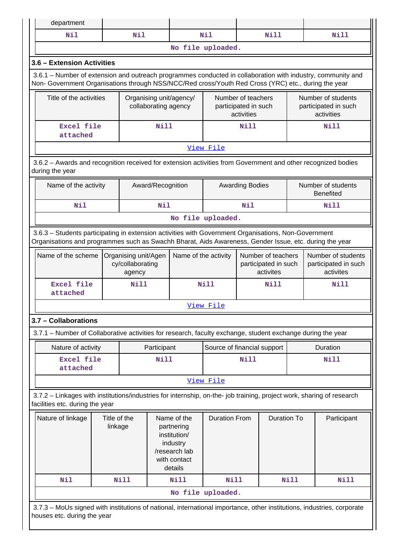| department                                                                                                                                                                                                         |                                          |                      |                                                                                                   |                         |                                                         |                                                          |                                                         |                    |                                                          |                                        |
|--------------------------------------------------------------------------------------------------------------------------------------------------------------------------------------------------------------------|------------------------------------------|----------------------|---------------------------------------------------------------------------------------------------|-------------------------|---------------------------------------------------------|----------------------------------------------------------|---------------------------------------------------------|--------------------|----------------------------------------------------------|----------------------------------------|
| Nil                                                                                                                                                                                                                |                                          | Nil                  |                                                                                                   |                         | Nil                                                     |                                                          | Nill                                                    |                    |                                                          | <b>Nill</b>                            |
|                                                                                                                                                                                                                    |                                          |                      |                                                                                                   |                         | No file uploaded.                                       |                                                          |                                                         |                    |                                                          |                                        |
| 3.6 - Extension Activities                                                                                                                                                                                         |                                          |                      |                                                                                                   |                         |                                                         |                                                          |                                                         |                    |                                                          |                                        |
| 3.6.1 – Number of extension and outreach programmes conducted in collaboration with industry, community and<br>Non- Government Organisations through NSS/NCC/Red cross/Youth Red Cross (YRC) etc., during the year |                                          |                      |                                                                                                   |                         |                                                         |                                                          |                                                         |                    |                                                          |                                        |
| Title of the activities                                                                                                                                                                                            |                                          |                      | collaborating agency                                                                              | Organising unit/agency/ |                                                         | Number of teachers<br>participated in such<br>activities |                                                         |                    | Number of students<br>participated in such<br>activities |                                        |
| Excel file<br>attached                                                                                                                                                                                             |                                          |                      | Nill                                                                                              |                         |                                                         | Nill                                                     |                                                         |                    |                                                          | Nill                                   |
|                                                                                                                                                                                                                    |                                          |                      |                                                                                                   |                         | View File                                               |                                                          |                                                         |                    |                                                          |                                        |
| 3.6.2 - Awards and recognition received for extension activities from Government and other recognized bodies<br>during the year                                                                                    |                                          |                      |                                                                                                   |                         |                                                         |                                                          |                                                         |                    |                                                          |                                        |
| Name of the activity                                                                                                                                                                                               |                                          |                      | Award/Recognition                                                                                 |                         |                                                         | <b>Awarding Bodies</b>                                   |                                                         |                    |                                                          | Number of students<br><b>Benefited</b> |
| Nil                                                                                                                                                                                                                |                                          |                      | Nil                                                                                               |                         |                                                         | Nil                                                      |                                                         |                    |                                                          | <b>Nill</b>                            |
|                                                                                                                                                                                                                    | No file uploaded.                        |                      |                                                                                                   |                         |                                                         |                                                          |                                                         |                    |                                                          |                                        |
| 3.6.3 - Students participating in extension activities with Government Organisations, Non-Government<br>Organisations and programmes such as Swachh Bharat, Aids Awareness, Gender Issue, etc. during the year     |                                          |                      |                                                                                                   |                         |                                                         |                                                          |                                                         |                    |                                                          |                                        |
| Name of the scheme                                                                                                                                                                                                 | Organising unit/Agen<br>cy/collaborating | Name of the activity |                                                                                                   |                         | Number of teachers<br>participated in such<br>activites |                                                          | Number of students<br>participated in such<br>activites |                    |                                                          |                                        |
| Excel file<br>attached                                                                                                                                                                                             |                                          | Nill                 |                                                                                                   |                         | <b>Nill</b>                                             |                                                          | Nill                                                    |                    |                                                          | Nill                                   |
|                                                                                                                                                                                                                    |                                          |                      |                                                                                                   |                         | View File                                               |                                                          |                                                         |                    |                                                          |                                        |
| 3.7 - Collaborations                                                                                                                                                                                               |                                          |                      |                                                                                                   |                         |                                                         |                                                          |                                                         |                    |                                                          |                                        |
| 3.7.1 – Number of Collaborative activities for research, faculty exchange, student exchange during the year                                                                                                        |                                          |                      |                                                                                                   |                         |                                                         |                                                          |                                                         |                    |                                                          |                                        |
| Nature of activity                                                                                                                                                                                                 |                                          |                      | Participant                                                                                       |                         | Source of financial support                             |                                                          |                                                         |                    |                                                          | Duration                               |
| <b>Excel file</b><br>attached                                                                                                                                                                                      |                                          |                      | Nill                                                                                              |                         |                                                         | Nill                                                     |                                                         |                    |                                                          | Nill                                   |
|                                                                                                                                                                                                                    |                                          |                      |                                                                                                   |                         | View File                                               |                                                          |                                                         |                    |                                                          |                                        |
| 3.7.2 - Linkages with institutions/industries for internship, on-the- job training, project work, sharing of research<br>facilities etc. during the year                                                           |                                          |                      |                                                                                                   |                         |                                                         |                                                          |                                                         |                    |                                                          |                                        |
| Nature of linkage                                                                                                                                                                                                  | Title of the<br>linkage                  |                      | Name of the<br>partnering<br>institution/<br>industry<br>/research lab<br>with contact<br>details |                         | <b>Duration From</b>                                    |                                                          |                                                         | <b>Duration To</b> |                                                          | Participant                            |
| Nil                                                                                                                                                                                                                |                                          | <b>Nill</b>          |                                                                                                   | <b>Nill</b>             | <b>Nill</b>                                             |                                                          |                                                         | <b>Nill</b>        |                                                          | <b>Nill</b>                            |
|                                                                                                                                                                                                                    |                                          |                      |                                                                                                   |                         | No file uploaded.                                       |                                                          |                                                         |                    |                                                          |                                        |
| 3.7.3 - MoUs signed with institutions of national, international importance, other institutions, industries, corporate<br>houses etc. during the year                                                              |                                          |                      |                                                                                                   |                         |                                                         |                                                          |                                                         |                    |                                                          |                                        |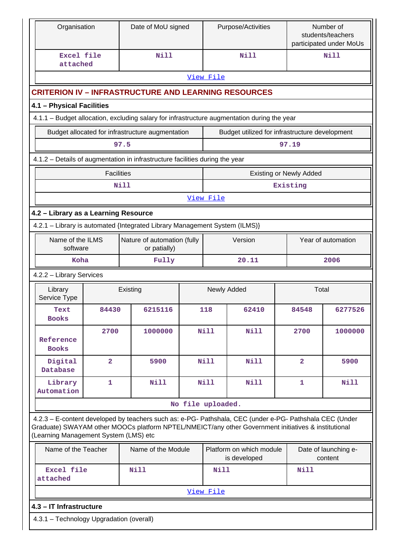| Organisation                             |                   | Date of MoU signed                                                                                                                                                                                             |                   |             | Purpose/Activities                             | Number of<br>students/teachers<br>participated under MoUs |                                 |
|------------------------------------------|-------------------|----------------------------------------------------------------------------------------------------------------------------------------------------------------------------------------------------------------|-------------------|-------------|------------------------------------------------|-----------------------------------------------------------|---------------------------------|
| Excel file<br>attached                   |                   | Nill                                                                                                                                                                                                           |                   |             | Nill                                           |                                                           | Nill                            |
|                                          |                   |                                                                                                                                                                                                                |                   | View File   |                                                |                                                           |                                 |
|                                          |                   | <b>CRITERION IV - INFRASTRUCTURE AND LEARNING RESOURCES</b>                                                                                                                                                    |                   |             |                                                |                                                           |                                 |
| 4.1 - Physical Facilities                |                   |                                                                                                                                                                                                                |                   |             |                                                |                                                           |                                 |
|                                          |                   | 4.1.1 - Budget allocation, excluding salary for infrastructure augmentation during the year                                                                                                                    |                   |             |                                                |                                                           |                                 |
|                                          |                   | Budget allocated for infrastructure augmentation                                                                                                                                                               |                   |             | Budget utilized for infrastructure development |                                                           |                                 |
|                                          |                   | 97.5                                                                                                                                                                                                           |                   |             |                                                | 97.19                                                     |                                 |
|                                          |                   | 4.1.2 - Details of augmentation in infrastructure facilities during the year                                                                                                                                   |                   |             |                                                |                                                           |                                 |
|                                          | <b>Facilities</b> |                                                                                                                                                                                                                |                   |             | Existing or Newly Added                        |                                                           |                                 |
|                                          |                   | Nill                                                                                                                                                                                                           |                   |             |                                                | Existing                                                  |                                 |
|                                          |                   |                                                                                                                                                                                                                |                   | View File   |                                                |                                                           |                                 |
| 4.2 - Library as a Learning Resource     |                   |                                                                                                                                                                                                                |                   |             |                                                |                                                           |                                 |
|                                          |                   | 4.2.1 - Library is automated {Integrated Library Management System (ILMS)}                                                                                                                                     |                   |             |                                                |                                                           |                                 |
| Name of the ILMS<br>software             |                   | Nature of automation (fully<br>or patially)                                                                                                                                                                    |                   |             | Version                                        | Year of automation                                        |                                 |
| Koha<br>Fully                            |                   |                                                                                                                                                                                                                |                   |             | 20.11                                          |                                                           | 2006                            |
| 4.2.2 - Library Services                 |                   |                                                                                                                                                                                                                |                   |             |                                                |                                                           |                                 |
| Library<br>Service Type                  |                   | Existing                                                                                                                                                                                                       |                   |             | Newly Added                                    | Total                                                     |                                 |
| Text<br><b>Books</b>                     | 84430             | 6215116                                                                                                                                                                                                        |                   | 118         | 62410                                          | 84548                                                     | 6277526                         |
| Reference<br><b>Books</b>                | 2700              | 1000000                                                                                                                                                                                                        |                   | <b>Nill</b> | <b>Nill</b>                                    | 2700                                                      | 1000000                         |
| Digital<br>Database                      | $\overline{2}$    | 5900                                                                                                                                                                                                           |                   | N111        | Nill                                           | $\overline{2}$                                            | 5900                            |
| Library<br>Automation                    | 1                 | <b>Nill</b>                                                                                                                                                                                                    |                   | <b>Nill</b> | <b>Nill</b>                                    | 1                                                         | Nill                            |
|                                          |                   |                                                                                                                                                                                                                | No file uploaded. |             |                                                |                                                           |                                 |
| (Learning Management System (LMS) etc    |                   | 4.2.3 - E-content developed by teachers such as: e-PG- Pathshala, CEC (under e-PG- Pathshala CEC (Under<br>Graduate) SWAYAM other MOOCs platform NPTEL/NMEICT/any other Government initiatives & institutional |                   |             |                                                |                                                           |                                 |
| Name of the Teacher                      |                   | Name of the Module                                                                                                                                                                                             |                   |             | Platform on which module<br>is developed       |                                                           | Date of launching e-<br>content |
| Excel file<br>attached                   |                   | <b>Nill</b>                                                                                                                                                                                                    |                   | <b>Nill</b> |                                                | Nill                                                      |                                 |
|                                          |                   |                                                                                                                                                                                                                |                   | View File   |                                                |                                                           |                                 |
| 4.3 - IT Infrastructure                  |                   |                                                                                                                                                                                                                |                   |             |                                                |                                                           |                                 |
| 4.3.1 - Technology Upgradation (overall) |                   |                                                                                                                                                                                                                |                   |             |                                                |                                                           |                                 |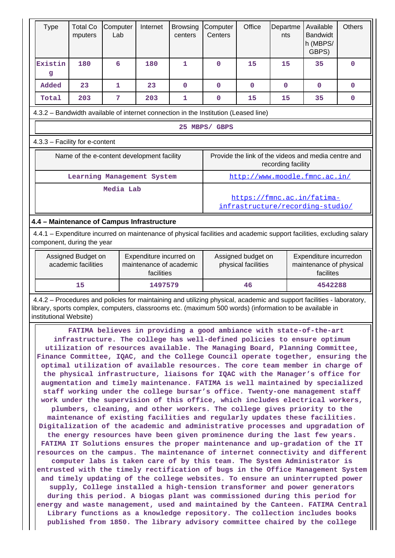| <b>Type</b>                                                                                                          | <b>Total Co</b><br>mputers                                                          | Computer<br>Lab                            | Internet | <b>Browsing</b><br>centers | Computer<br>Centers                                                       | Office      | Departme<br>nts | Available<br><b>Bandwidt</b><br>h (MBPS/<br>GBPS) | <b>Others</b> |  |  |
|----------------------------------------------------------------------------------------------------------------------|-------------------------------------------------------------------------------------|--------------------------------------------|----------|----------------------------|---------------------------------------------------------------------------|-------------|-----------------|---------------------------------------------------|---------------|--|--|
| Existin<br>g                                                                                                         | 180                                                                                 | 6                                          | 180      | 1                          | 0                                                                         | 15          | 15              | 35                                                | $\mathbf 0$   |  |  |
| Added                                                                                                                | 23                                                                                  | 1                                          | 23       | $\Omega$                   | 0                                                                         | $\mathbf 0$ | $\Omega$        | 0                                                 | $\mathbf{0}$  |  |  |
| Total                                                                                                                | 203                                                                                 | 7                                          | 203      | 1                          | 0                                                                         | 15          | 15              | 35                                                | $\mathbf{0}$  |  |  |
|                                                                                                                      | 4.3.2 - Bandwidth available of internet connection in the Institution (Leased line) |                                            |          |                            |                                                                           |             |                 |                                                   |               |  |  |
|                                                                                                                      | 25 MBPS/ GBPS                                                                       |                                            |          |                            |                                                                           |             |                 |                                                   |               |  |  |
| 4.3.3 - Facility for e-content                                                                                       |                                                                                     |                                            |          |                            |                                                                           |             |                 |                                                   |               |  |  |
|                                                                                                                      |                                                                                     | Name of the e-content development facility |          |                            | Provide the link of the videos and media centre and<br>recording facility |             |                 |                                                   |               |  |  |
|                                                                                                                      |                                                                                     | Learning Management System                 |          |                            | http://www.moodle.fmnc.ac.in/                                             |             |                 |                                                   |               |  |  |
|                                                                                                                      |                                                                                     | Media Lab                                  |          |                            | https://fmnc.ac.in/fatima-<br>infrastructure/recording-studio/            |             |                 |                                                   |               |  |  |
| 4.4 – Maintenance of Campus Infrastructure                                                                           |                                                                                     |                                            |          |                            |                                                                           |             |                 |                                                   |               |  |  |
| 4.4.1 – Expenditure incurred on maintenance of physical facilities and academic support facilities, excluding salary |                                                                                     |                                            |          |                            |                                                                           |             |                 |                                                   |               |  |  |

component, during the year

| Assigned Budget on<br>academic facilities | Expenditure incurred on<br>maintenance of academic<br>facilities | Assigned budget on<br>physical facilities | Expenditure incurredon<br>maintenance of physical<br>facilites |
|-------------------------------------------|------------------------------------------------------------------|-------------------------------------------|----------------------------------------------------------------|
| 15                                        | 1497579                                                          | 46                                        | 4542288                                                        |

 4.4.2 – Procedures and policies for maintaining and utilizing physical, academic and support facilities - laboratory, library, sports complex, computers, classrooms etc. (maximum 500 words) (information to be available in institutional Website)

 **FATIMA believes in providing a good ambiance with state-of-the-art infrastructure. The college has well-defined policies to ensure optimum utilization of resources available. The Managing Board, Planning Committee, Finance Committee, IQAC, and the College Council operate together, ensuring the optimal utilization of available resources. The core team member in charge of the physical infrastructure, liaisons for IQAC with the Manager's office for augmentation and timely maintenance. FATIMA is well maintained by specialized staff working under the college bursar's office. Twenty-one management staff work under the supervision of this office, which includes electrical workers, plumbers, cleaning, and other workers. The college gives priority to the maintenance of existing facilities and regularly updates these facilities. Digitalization of the academic and administrative processes and upgradation of the energy resources have been given prominence during the last few years. FATIMA IT Solutions ensures the proper maintenance and up-gradation of the IT resources on the campus. The maintenance of internet connectivity and different computer labs is taken care of by this team. The System Administrator is entrusted with the timely rectification of bugs in the Office Management System and timely updating of the college websites. To ensure an uninterrupted power supply, College installed a high-tension transformer and power generators during this period. A biogas plant was commissioned during this period for energy and waste management, used and maintained by the Canteen. FATIMA Central Library functions as a knowledge repository. The collection includes books published from 1850. The library advisory committee chaired by the college**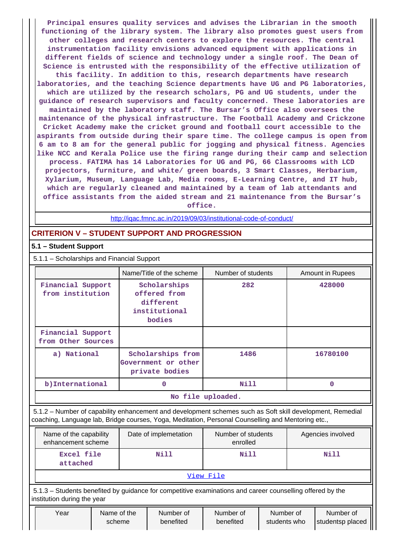**Principal ensures quality services and advises the Librarian in the smooth functioning of the library system. The library also promotes guest users from other colleges and research centers to explore the resources. The central instrumentation facility envisions advanced equipment with applications in different fields of science and technology under a single roof. The Dean of Science is entrusted with the responsibility of the effective utilization of this facility. In addition to this, research departments have research laboratories, and the teaching Science departments have UG and PG laboratories, which are utilized by the research scholars, PG and UG students, under the guidance of research supervisors and faculty concerned. These laboratories are maintained by the laboratory staff. The Bursar's Office also oversees the maintenance of the physical infrastructure. The Football Academy and Crickzone Cricket Academy make the cricket ground and football court accessible to the aspirants from outside during their spare time. The college campus is open from 6 am to 8 am for the general public for jogging and physical fitness. Agencies like NCC and Kerala Police use the firing range during their camp and selection process. FATIMA has 14 Laboratories for UG and PG, 66 Classrooms with LCD projectors, furniture, and white/ green boards, 3 Smart Classes, Herbarium, Xylarium, Museum, Language Lab, Media rooms, E-Learning Centre, and IT hub, which are regularly cleaned and maintained by a team of lab attendants and office assistants from the aided stream and 21 maintenance from the Bursar's office.**

<http://iqac.fmnc.ac.in/2019/09/03/institutional-code-of-conduct/>

# **CRITERION V – STUDENT SUPPORT AND PROGRESSION**

# **5.1 – Student Support**

5.1.1 – Scholarships and Financial Support

|                                         | Name/Title of the scheme                                             | Number of students | Amount in Rupees |
|-----------------------------------------|----------------------------------------------------------------------|--------------------|------------------|
| Financial Support<br>from institution   | Scholarships<br>offered from<br>different<br>institutional<br>bodies | 282                | 428000           |
| Financial Support<br>from Other Sources |                                                                      |                    |                  |
| a) National                             | Scholarships from<br>Government or other<br>private bodies           | 1486               | 16780100         |
| b) International                        | 0                                                                    | Nill               | 0                |
|                                         |                                                                      | No file uploaded.  |                  |

 5.1.2 – Number of capability enhancement and development schemes such as Soft skill development, Remedial coaching, Language lab, Bridge courses, Yoga, Meditation, Personal Counselling and Mentoring etc.,

| Name of the capability<br>enhancement scheme | Date of implemetation | Number of students<br>enrolled | Agencies involved |  |  |  |  |  |
|----------------------------------------------|-----------------------|--------------------------------|-------------------|--|--|--|--|--|
| Excel file<br>attached                       | Nill                  | Nill                           | Nill              |  |  |  |  |  |
| View File                                    |                       |                                |                   |  |  |  |  |  |

 5.1.3 – Students benefited by guidance for competitive examinations and career counselling offered by the institution during the year

| Year<br>Name of the<br>scheme | Number of<br>Number of<br>Number of<br>Number of<br>benefited<br>benefited<br>students who<br>Istudentsp placed |  |
|-------------------------------|-----------------------------------------------------------------------------------------------------------------|--|
|-------------------------------|-----------------------------------------------------------------------------------------------------------------|--|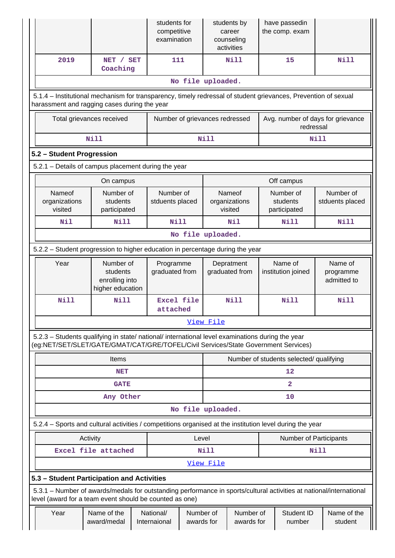|                                                                                                                                                                                        |                                                             |  | students for<br>competitive<br>examination |                         |             | students by<br>career<br>counseling<br>activities |  | have passedin<br>the comp. exam                |             |                                     |  |
|----------------------------------------------------------------------------------------------------------------------------------------------------------------------------------------|-------------------------------------------------------------|--|--------------------------------------------|-------------------------|-------------|---------------------------------------------------|--|------------------------------------------------|-------------|-------------------------------------|--|
| 2019                                                                                                                                                                                   | NET / SET<br>Coaching                                       |  | 111                                        |                         |             | Nill                                              |  | 15                                             |             | Nill                                |  |
|                                                                                                                                                                                        |                                                             |  |                                            | No file uploaded.       |             |                                                   |  |                                                |             |                                     |  |
| 5.1.4 - Institutional mechanism for transparency, timely redressal of student grievances, Prevention of sexual<br>harassment and ragging cases during the year                         |                                                             |  |                                            |                         |             |                                                   |  |                                                |             |                                     |  |
|                                                                                                                                                                                        | Total grievances received                                   |  | Number of grievances redressed             |                         |             |                                                   |  | Avg. number of days for grievance<br>redressal |             |                                     |  |
|                                                                                                                                                                                        | <b>Nill</b>                                                 |  |                                            |                         | <b>Nill</b> |                                                   |  |                                                | <b>Nill</b> |                                     |  |
| 5.2 - Student Progression                                                                                                                                                              |                                                             |  |                                            |                         |             |                                                   |  |                                                |             |                                     |  |
| 5.2.1 - Details of campus placement during the year                                                                                                                                    |                                                             |  |                                            |                         |             |                                                   |  |                                                |             |                                     |  |
|                                                                                                                                                                                        | On campus                                                   |  |                                            |                         |             |                                                   |  | Off campus                                     |             |                                     |  |
| Nameof<br>organizations<br>visited                                                                                                                                                     | Number of<br>students<br>participated                       |  | Number of<br>stduents placed               |                         |             | Nameof<br>organizations<br>visited                |  | Number of<br>students<br>participated          |             | Number of<br>stduents placed        |  |
| Nil                                                                                                                                                                                    | Nill                                                        |  | Nill                                       |                         |             | Nil                                               |  | <b>Nill</b>                                    |             | <b>Nill</b>                         |  |
| No file uploaded.                                                                                                                                                                      |                                                             |  |                                            |                         |             |                                                   |  |                                                |             |                                     |  |
| 5.2.2 – Student progression to higher education in percentage during the year                                                                                                          |                                                             |  |                                            |                         |             |                                                   |  |                                                |             |                                     |  |
| Year                                                                                                                                                                                   | Number of<br>students<br>enrolling into<br>higher education |  | Programme<br>graduated from                |                         |             | Depratment<br>graduated from                      |  | Name of<br>institution joined                  |             | Name of<br>programme<br>admitted to |  |
| <b>Nill</b>                                                                                                                                                                            | <b>Nill</b>                                                 |  | Excel file<br>attached                     |                         |             | Nill                                              |  | Nill                                           |             | <b>Nill</b>                         |  |
|                                                                                                                                                                                        |                                                             |  |                                            |                         | View File   |                                                   |  |                                                |             |                                     |  |
| 5.2.3 - Students qualifying in state/ national/ international level examinations during the year<br>(eg:NET/SET/SLET/GATE/GMAT/CAT/GRE/TOFEL/Civil Services/State Government Services) |                                                             |  |                                            |                         |             |                                                   |  |                                                |             |                                     |  |
|                                                                                                                                                                                        | Items                                                       |  |                                            |                         |             |                                                   |  | Number of students selected/ qualifying        |             |                                     |  |
|                                                                                                                                                                                        | <b>NET</b>                                                  |  |                                            |                         |             |                                                   |  | 12                                             |             |                                     |  |
|                                                                                                                                                                                        | <b>GATE</b>                                                 |  |                                            |                         |             |                                                   |  | $\overline{\mathbf{2}}$                        |             |                                     |  |
|                                                                                                                                                                                        | Any Other                                                   |  |                                            |                         |             |                                                   |  | 10                                             |             |                                     |  |
|                                                                                                                                                                                        |                                                             |  |                                            | No file uploaded.       |             |                                                   |  |                                                |             |                                     |  |
| 5.2.4 - Sports and cultural activities / competitions organised at the institution level during the year                                                                               |                                                             |  |                                            |                         |             |                                                   |  |                                                |             |                                     |  |
| Activity<br>Level<br><b>Number of Participants</b>                                                                                                                                     |                                                             |  |                                            |                         |             |                                                   |  |                                                |             |                                     |  |
|                                                                                                                                                                                        | Excel file attached                                         |  |                                            |                         | <b>Nill</b> |                                                   |  |                                                | Nill        |                                     |  |
|                                                                                                                                                                                        |                                                             |  |                                            |                         | View File   |                                                   |  |                                                |             |                                     |  |
| 5.3 - Student Participation and Activities                                                                                                                                             |                                                             |  |                                            |                         |             |                                                   |  |                                                |             |                                     |  |
| 5.3.1 – Number of awards/medals for outstanding performance in sports/cultural activities at national/international<br>level (award for a team event should be counted as one)         |                                                             |  |                                            |                         |             |                                                   |  |                                                |             |                                     |  |
| Year                                                                                                                                                                                   | Name of the<br>award/medal                                  |  | National/<br>Internaional                  | Number of<br>awards for |             | Number of<br>awards for                           |  | Student ID<br>number                           |             | Name of the<br>student              |  |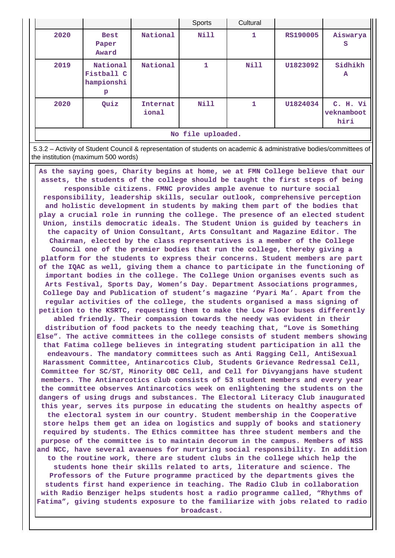|                   |                                           |                   | Sports      | Cultural    |                 |                                |  |  |
|-------------------|-------------------------------------------|-------------------|-------------|-------------|-----------------|--------------------------------|--|--|
| 2020              | <b>Best</b><br>Paper<br>Award             | National          | <b>Nill</b> | 1           | <b>RS190005</b> | Aiswarya<br>s                  |  |  |
| 2019              | National<br>Fistball C<br>hampionshi<br>р | National          | 1           | <b>Nill</b> | U1823092        | Sidhikh<br>A                   |  |  |
| 2020              | Quiz                                      | Internat<br>ional | <b>Nill</b> |             | U1824034        | C. H. Vi<br>veknamboot<br>hiri |  |  |
| No file uploaded. |                                           |                   |             |             |                 |                                |  |  |

 5.3.2 – Activity of Student Council & representation of students on academic & administrative bodies/committees of the institution (maximum 500 words)

 **As the saying goes, Charity begins at home, we at FMN College believe that our assets, the students of the college should be taught the first steps of being responsible citizens. FMNC provides ample avenue to nurture social responsibility, leadership skills, secular outlook, comprehensive perception and holistic development in students by making them part of the bodies that play a crucial role in running the college. The presence of an elected student Union, instils democratic ideals. The Student Union is guided by teachers in the capacity of Union Consultant, Arts Consultant and Magazine Editor. The Chairman, elected by the class representatives is a member of the College Council one of the premier bodies that run the college, thereby giving a platform for the students to express their concerns. Student members are part of the IQAC as well, giving them a chance to participate in the functioning of important bodies in the college. The College Union organises events such as Arts Festival, Sports Day, Women's Day. Department Associations programmes, College Day and Publication of student's magazine 'Pyari Ma'. Apart from the regular activities of the college, the students organised a mass signing of petition to the KSRTC, requesting them to make the Low Floor buses differently abled friendly. Their compassion towards the needy was evident in their distribution of food packets to the needy teaching that, "Love is Something Else". The active committees in the college consists of student members showing that Fatima college believes in integrating student participation in all the endeavours. The mandatory committees such as Anti Ragging Cell, AntiSexual Harassment Committee, Antinarcotics Club, Students Grievance Redressal Cell, Committee for SC/ST, Minority OBC Cell, and Cell for Divyangjans have student members. The Antinarcotics club consists of 53 student members and every year the committee observes Antinarcotics week on enlightening the students on the dangers of using drugs and substances. The Electoral Literacy Club inaugurated this year, serves its purpose in educating the students on healthy aspects of the electoral system in our country. Student membership in the Cooperative store helps them get an idea on logistics and supply of books and stationery required by students. The Ethics committee has three student members and the purpose of the committee is to maintain decorum in the campus. Members of NSS and NCC, have several avaenues for nurturing social responsibility. In addition to the routine work, there are student clubs in the college which help the students hone their skills related to arts, literature and science. The Professors of the Future programme practiced by the departments gives the students first hand experience in teaching. The Radio Club in collaboration with Radio Benziger helps students host a radio programme called, "Rhythms of Fatima", giving students exposure to the familiarize with jobs related to radio broadcast.**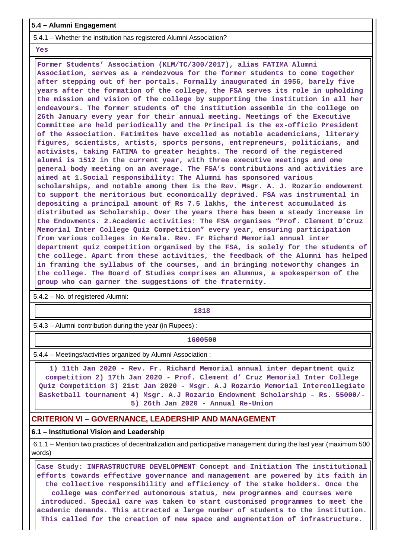## **5.4 – Alumni Engagement**

5.4.1 – Whether the institution has registered Alumni Association?

#### **Yes**

 **Former Students' Association (KLM/TC/300/2017), alias FATIMA Alumni Association, serves as a rendezvous for the former students to come together after stepping out of her portals. Formally inaugurated in 1956, barely five years after the formation of the college, the FSA serves its role in upholding the mission and vision of the college by supporting the institution in all her endeavours. The former students of the institution assemble in the college on 26th January every year for their annual meeting. Meetings of the Executive Committee are held periodically and the Principal is the ex-officio President of the Association. Fatimites have excelled as notable academicians, literary figures, scientists, artists, sports persons, entrepreneurs, politicians, and activists, taking FATIMA to greater heights. The record of the registered alumni is 1512 in the current year, with three executive meetings and one general body meeting on an average. The FSA's contributions and activities are aimed at 1.Social responsibility: The Alumni has sponsored various scholarships, and notable among them is the Rev. Msgr. A. J. Rozario endowment to support the meritorious but economically deprived. FSA was instrumental in depositing a principal amount of Rs 7.5 lakhs, the interest accumulated is distributed as Scholarship. Over the years there has been a steady increase in the Endowments. 2.Academic activities: The FSA organises "Prof. Clement D'Cruz Memorial Inter College Quiz Competition" every year, ensuring participation from various colleges in Kerala. Rev. Fr Richard Memorial annual inter department quiz competition organised by the FSA, is solely for the students of the college. Apart from these activities, the feedback of the Alumni has helped in framing the syllabus of the courses, and in bringing noteworthy changes in the college. The Board of Studies comprises an Alumnus, a spokesperson of the group who can garner the suggestions of the fraternity.**

5.4.2 – No. of registered Alumni:

**1818**

5.4.3 – Alumni contribution during the year (in Rupees) :

**1600500**

5.4.4 – Meetings/activities organized by Alumni Association :

 **1) 11th Jan 2020 - Rev. Fr. Richard Memorial annual inter department quiz competition 2) 17th Jan 2020 - Prof. Clement d' Cruz Memorial Inter College Quiz Competition 3) 21st Jan 2020 - Msgr. A.J Rozario Memorial Intercollegiate Basketball tournament 4) Msgr. A.J Rozario Endowment Scholarship – Rs. 55000/- 5) 26th Jan 2020 - Annual Re-Union**

## **CRITERION VI – GOVERNANCE, LEADERSHIP AND MANAGEMENT**

### **6.1 – Institutional Vision and Leadership**

 6.1.1 – Mention two practices of decentralization and participative management during the last year (maximum 500 words)

 **Case Study: INFRASTRUCTURE DEVELOPMENT Concept and Initiation The institutional efforts towards effective governance and management are powered by its faith in the collective responsibility and efficiency of the stake holders. Once the college was conferred autonomous status, new programmes and courses were introduced. Special care was taken to start customised programmes to meet the academic demands. This attracted a large number of students to the institution. This called for the creation of new space and augmentation of infrastructure.**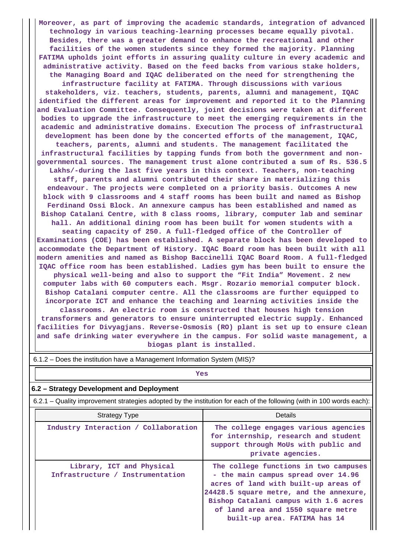**Moreover, as part of improving the academic standards, integration of advanced technology in various teaching-learning processes became equally pivotal. Besides, there was a greater demand to enhance the recreational and other facilities of the women students since they formed the majority. Planning FATIMA upholds joint efforts in assuring quality culture in every academic and administrative activity. Based on the feed backs from various stake holders, the Managing Board and IQAC deliberated on the need for strengthening the infrastructure facility at FATIMA. Through discussions with various stakeholders, viz. teachers, students, parents, alumni and management, IQAC identified the different areas for improvement and reported it to the Planning and Evaluation Committee. Consequently, joint decisions were taken at different bodies to upgrade the infrastructure to meet the emerging requirements in the academic and administrative domains. Execution The process of infrastructural development has been done by the concerted efforts of the management, IQAC, teachers, parents, alumni and students. The management facilitated the infrastructural facilities by tapping funds from both the government and nongovernmental sources. The management trust alone contributed a sum of Rs. 536.5 Lakhs/-during the last five years in this context. Teachers, non-teaching staff, parents and alumni contributed their share in materializing this endeavour. The projects were completed on a priority basis. Outcomes A new block with 9 classrooms and 4 staff rooms has been built and named as Bishop Ferdinand Ossi Block. An annexure campus has been established and named as Bishop Catalani Centre, with 8 class rooms, library, computer lab and seminar hall. An additional dining room has been built for women students with a seating capacity of 250. A full-fledged office of the Controller of Examinations (COE) has been established. A separate block has been developed to accommodate the Department of History. IQAC Board room has been built with all modern amenities and named as Bishop Baccinelli IQAC Board Room. A full-fledged IQAC office room has been established. Ladies gym has been built to ensure the physical well-being and also to support the "Fit India" Movement. 2 new computer labs with 60 computers each. Msgr. Rozario memorial computer block. Bishop Catalani computer centre. All the classrooms are further equipped to incorporate ICT and enhance the teaching and learning activities inside the classrooms. An electric room is constructed that houses high tension transformers and generators to ensure uninterrupted electric supply. Enhanced facilities for Divyagjans. Reverse-Osmosis (RO) plant is set up to ensure clean and safe drinking water everywhere in the campus. For solid waste management, a biogas plant is installed.**

| 6.1.2 – Does the institution have a Management Information System (MIS)?                                              |                                                                                                                                                                                                                                                                                |  |  |  |  |  |  |  |
|-----------------------------------------------------------------------------------------------------------------------|--------------------------------------------------------------------------------------------------------------------------------------------------------------------------------------------------------------------------------------------------------------------------------|--|--|--|--|--|--|--|
| Yes                                                                                                                   |                                                                                                                                                                                                                                                                                |  |  |  |  |  |  |  |
| 6.2 – Strategy Development and Deployment                                                                             |                                                                                                                                                                                                                                                                                |  |  |  |  |  |  |  |
| 6.2.1 – Quality improvement strategies adopted by the institution for each of the following (with in 100 words each): |                                                                                                                                                                                                                                                                                |  |  |  |  |  |  |  |
| <b>Strategy Type</b>                                                                                                  | Details                                                                                                                                                                                                                                                                        |  |  |  |  |  |  |  |
| Industry Interaction / Collaboration                                                                                  | The college engages various agencies<br>for internship, research and student<br>support through MoUs with public and<br>private agencies.                                                                                                                                      |  |  |  |  |  |  |  |
| Library, ICT and Physical<br>Infrastructure / Instrumentation                                                         | The college functions in two campuses<br>- the main campus spread over 14.96<br>acres of land with built-up areas of<br>24428.5 square metre, and the annexure,<br>Bishop Catalani campus with 1.6 acres<br>of land area and 1550 square metre<br>built-up area. FATIMA has 14 |  |  |  |  |  |  |  |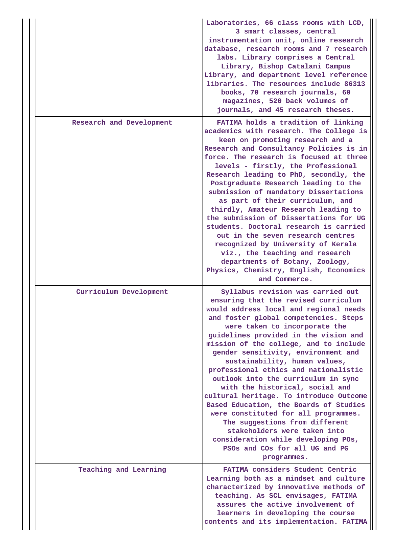|                          | Laboratories, 66 class rooms with LCD,<br>3 smart classes, central<br>instrumentation unit, online research<br>database, research rooms and 7 research<br>labs. Library comprises a Central<br>Library, Bishop Catalani Campus<br>Library, and department level reference<br>libraries. The resources include 86313<br>books, 70 research journals, 60<br>magazines, 520 back volumes of<br>journals, and 45 research theses.                                                                                                                                                                                                                                                                                                                                      |
|--------------------------|--------------------------------------------------------------------------------------------------------------------------------------------------------------------------------------------------------------------------------------------------------------------------------------------------------------------------------------------------------------------------------------------------------------------------------------------------------------------------------------------------------------------------------------------------------------------------------------------------------------------------------------------------------------------------------------------------------------------------------------------------------------------|
| Research and Development | FATIMA holds a tradition of linking<br>academics with research. The College is<br>keen on promoting research and a<br>Research and Consultancy Policies is in<br>force. The research is focused at three<br>levels - firstly, the Professional<br>Research leading to PhD, secondly, the<br>Postgraduate Research leading to the<br>submission of mandatory Dissertations<br>as part of their curriculum, and<br>thirdly, Amateur Research leading to<br>the submission of Dissertations for UG<br>students. Doctoral research is carried<br>out in the seven research centres<br>recognized by University of Kerala<br>viz., the teaching and research<br>departments of Botany, Zoology,<br>Physics, Chemistry, English, Economics<br>and Commerce.              |
| Curriculum Development   | Syllabus revision was carried out<br>ensuring that the revised curriculum<br>would address local and regional needs<br>and foster global competencies. Steps<br>were taken to incorporate the<br>guidelines provided in the vision and<br>mission of the college, and to include<br>gender sensitivity, environment and<br>sustainability, human values,<br>professional ethics and nationalistic<br>outlook into the curriculum in sync<br>with the historical, social and<br>cultural heritage. To introduce Outcome<br>Based Education, the Boards of Studies<br>were constituted for all programmes.<br>The suggestions from different<br>stakeholders were taken into<br>consideration while developing POs,<br>PSOs and COs for all UG and PG<br>programmes. |
| Teaching and Learning    | FATIMA considers Student Centric<br>Learning both as a mindset and culture<br>characterized by innovative methods of<br>teaching. As SCL envisages, FATIMA<br>assures the active involvement of<br>learners in developing the course<br>contents and its implementation. FATIMA                                                                                                                                                                                                                                                                                                                                                                                                                                                                                    |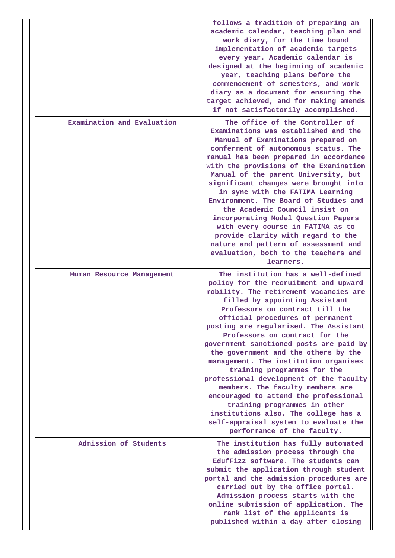|  |                            | follows a tradition of preparing an<br>academic calendar, teaching plan and<br>work diary, for the time bound<br>implementation of academic targets<br>every year. Academic calendar is<br>designed at the beginning of academic<br>year, teaching plans before the<br>commencement of semesters, and work<br>diary as a document for ensuring the<br>target achieved, and for making amends<br>if not satisfactorily accomplished.                                                                                                                                                                                                                                                                                                           |
|--|----------------------------|-----------------------------------------------------------------------------------------------------------------------------------------------------------------------------------------------------------------------------------------------------------------------------------------------------------------------------------------------------------------------------------------------------------------------------------------------------------------------------------------------------------------------------------------------------------------------------------------------------------------------------------------------------------------------------------------------------------------------------------------------|
|  | Examination and Evaluation | The office of the Controller of<br>Examinations was established and the<br>Manual of Examinations prepared on<br>conferment of autonomous status. The<br>manual has been prepared in accordance<br>with the provisions of the Examination<br>Manual of the parent University, but<br>significant changes were brought into<br>in sync with the FATIMA Learning<br>Environment. The Board of Studies and<br>the Academic Council insist on<br>incorporating Model Question Papers<br>with every course in FATIMA as to<br>provide clarity with regard to the<br>nature and pattern of assessment and<br>evaluation, both to the teachers and<br>learners.                                                                                      |
|  | Human Resource Management  | The institution has a well-defined<br>policy for the recruitment and upward<br>mobility. The retirement vacancies are<br>filled by appointing Assistant<br>Professors on contract till the<br>official procedures of permanent<br>posting are regularised. The Assistant<br>Professors on contract for the<br>government sanctioned posts are paid by<br>the government and the others by the<br>management. The institution organises<br>training programmes for the<br>professional development of the faculty<br>members. The faculty members are<br>encouraged to attend the professional<br>training programmes in other<br>institutions also. The college has a<br>self-appraisal system to evaluate the<br>performance of the faculty. |
|  | Admission of Students      | The institution has fully automated<br>the admission process through the<br>EdufFizz software. The students can<br>submit the application through student<br>portal and the admission procedures are<br>carried out by the office portal.<br>Admission process starts with the<br>online submission of application. The<br>rank list of the applicants is<br>published within a day after closing                                                                                                                                                                                                                                                                                                                                             |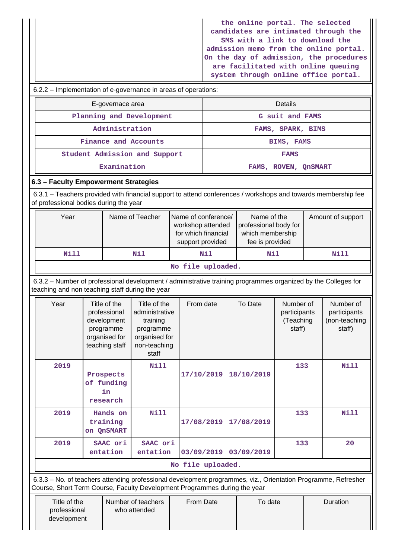**the online portal. The selected candidates are intimated through the SMS with a link to download the admission memo from the online portal. On the day of admission, the procedures are facilitated with online queuing system through online office portal.**

|                                                                                                                                                                  |                                                                                             |                                                                                                   |                   |                                                                             |             |                      |                                                  |  | system through onifine office portai.                |  |  |  |
|------------------------------------------------------------------------------------------------------------------------------------------------------------------|---------------------------------------------------------------------------------------------|---------------------------------------------------------------------------------------------------|-------------------|-----------------------------------------------------------------------------|-------------|----------------------|--------------------------------------------------|--|------------------------------------------------------|--|--|--|
| 6.2.2 – Implementation of e-governance in areas of operations:                                                                                                   |                                                                                             |                                                                                                   |                   |                                                                             |             |                      |                                                  |  |                                                      |  |  |  |
|                                                                                                                                                                  | E-governace area                                                                            |                                                                                                   |                   |                                                                             |             |                      | <b>Details</b>                                   |  |                                                      |  |  |  |
|                                                                                                                                                                  |                                                                                             | Planning and Development                                                                          |                   | G suit and FAMS                                                             |             |                      |                                                  |  |                                                      |  |  |  |
|                                                                                                                                                                  | Administration                                                                              |                                                                                                   |                   | FAMS, SPARK, BIMS                                                           |             |                      |                                                  |  |                                                      |  |  |  |
|                                                                                                                                                                  | Finance and Accounts                                                                        |                                                                                                   |                   |                                                                             |             |                      | BIMS, FAMS                                       |  |                                                      |  |  |  |
| Student Admission and Support                                                                                                                                    |                                                                                             |                                                                                                   |                   |                                                                             | <b>FAMS</b> |                      |                                                  |  |                                                      |  |  |  |
|                                                                                                                                                                  | Examination                                                                                 |                                                                                                   |                   |                                                                             |             | FAMS, ROVEN, QNSMART |                                                  |  |                                                      |  |  |  |
| 6.3 - Faculty Empowerment Strategies                                                                                                                             |                                                                                             |                                                                                                   |                   |                                                                             |             |                      |                                                  |  |                                                      |  |  |  |
| 6.3.1 – Teachers provided with financial support to attend conferences / workshops and towards membership fee<br>of professional bodies during the year          |                                                                                             |                                                                                                   |                   |                                                                             |             |                      |                                                  |  |                                                      |  |  |  |
| Year                                                                                                                                                             | Name of conference/<br>workshop attended<br>for which financial<br>support provided         |                                                                                                   |                   | Name of the<br>professional body for<br>which membership<br>fee is provided |             | Amount of support    |                                                  |  |                                                      |  |  |  |
| <b>Nill</b>                                                                                                                                                      | Nil<br>Nil                                                                                  |                                                                                                   |                   |                                                                             |             | Nil                  |                                                  |  | <b>Nill</b>                                          |  |  |  |
|                                                                                                                                                                  | No file uploaded.                                                                           |                                                                                                   |                   |                                                                             |             |                      |                                                  |  |                                                      |  |  |  |
| 6.3.2 - Number of professional development / administrative training programmes organized by the Colleges for<br>teaching and non teaching staff during the year |                                                                                             |                                                                                                   |                   |                                                                             |             |                      |                                                  |  |                                                      |  |  |  |
| Year                                                                                                                                                             | Title of the<br>professional<br>development<br>programme<br>organised for<br>teaching staff | Title of the<br>administrative<br>training<br>programme<br>organised for<br>non-teaching<br>staff | From date         |                                                                             |             | To Date              | Number of<br>participants<br>(Teaching<br>staff) |  | Number of<br>participants<br>(non-teaching<br>staff) |  |  |  |
| 2019<br>Prospects<br>of funding<br>research                                                                                                                      |                                                                                             |                                                                                                   |                   | 17/10/2019  18/10/2019                                                      | 133         |                      | Nill                                             |  |                                                      |  |  |  |
| 2019<br>Hands on<br>training<br>on QnSMART                                                                                                                       | 17/08/2019                                                                                  |                                                                                                   | 17/08/2019        | 133                                                                         |             | <b>Nill</b>          |                                                  |  |                                                      |  |  |  |
| 2019                                                                                                                                                             | SAAC ori<br>entation                                                                        | SAAC ori<br>entation                                                                              |                   | 03/09/2019                                                                  |             | 03/09/2019           | 133                                              |  | 20                                                   |  |  |  |
|                                                                                                                                                                  |                                                                                             |                                                                                                   | No file uploaded. |                                                                             |             |                      |                                                  |  |                                                      |  |  |  |
| 6.3.3 – No. of teachers attending professional development programmes, viz., Orientation Programme, Refresher                                                    |                                                                                             |                                                                                                   |                   |                                                                             |             |                      |                                                  |  |                                                      |  |  |  |

 6.3.3 – No. of teachers attending professional development programmes, viz., Orientation Programme, Refresher Course, Short Term Course, Faculty Development Programmes during the year

| Title of the<br>professional | Number of teachers<br>who attended | From Date | To date | Duration |
|------------------------------|------------------------------------|-----------|---------|----------|
| development                  |                                    |           |         |          |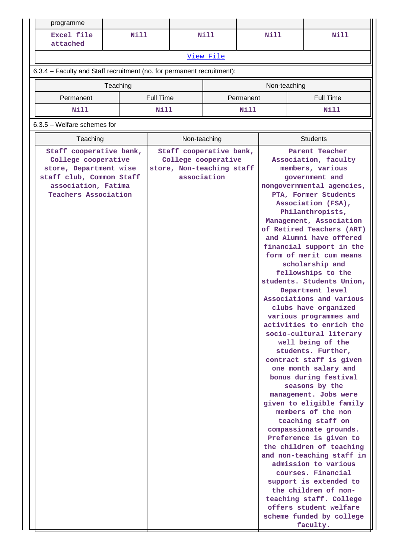| programme                                                                                                                                                  |  |                  |                                                                                            |           |             |                  |                                                                                                                                                                                                                                                                                                                                                                                                                                                                                                                                                                                                                                                                                                                                                                                                                                                                                                                                                                                                                                                                                                         |  |  |
|------------------------------------------------------------------------------------------------------------------------------------------------------------|--|------------------|--------------------------------------------------------------------------------------------|-----------|-------------|------------------|---------------------------------------------------------------------------------------------------------------------------------------------------------------------------------------------------------------------------------------------------------------------------------------------------------------------------------------------------------------------------------------------------------------------------------------------------------------------------------------------------------------------------------------------------------------------------------------------------------------------------------------------------------------------------------------------------------------------------------------------------------------------------------------------------------------------------------------------------------------------------------------------------------------------------------------------------------------------------------------------------------------------------------------------------------------------------------------------------------|--|--|
| Excel file<br>Nill<br>attached                                                                                                                             |  |                  | Nill                                                                                       |           | <b>Nill</b> | <b>Nill</b>      |                                                                                                                                                                                                                                                                                                                                                                                                                                                                                                                                                                                                                                                                                                                                                                                                                                                                                                                                                                                                                                                                                                         |  |  |
|                                                                                                                                                            |  |                  |                                                                                            | View File |             |                  |                                                                                                                                                                                                                                                                                                                                                                                                                                                                                                                                                                                                                                                                                                                                                                                                                                                                                                                                                                                                                                                                                                         |  |  |
| 6.3.4 - Faculty and Staff recruitment (no. for permanent recruitment):                                                                                     |  |                  |                                                                                            |           |             |                  |                                                                                                                                                                                                                                                                                                                                                                                                                                                                                                                                                                                                                                                                                                                                                                                                                                                                                                                                                                                                                                                                                                         |  |  |
| Non-teaching<br>Teaching                                                                                                                                   |  |                  |                                                                                            |           |             |                  |                                                                                                                                                                                                                                                                                                                                                                                                                                                                                                                                                                                                                                                                                                                                                                                                                                                                                                                                                                                                                                                                                                         |  |  |
| Permanent                                                                                                                                                  |  | <b>Full Time</b> |                                                                                            |           | Permanent   | <b>Full Time</b> |                                                                                                                                                                                                                                                                                                                                                                                                                                                                                                                                                                                                                                                                                                                                                                                                                                                                                                                                                                                                                                                                                                         |  |  |
| Nill                                                                                                                                                       |  | Nill             |                                                                                            |           | Nill        | Nill             |                                                                                                                                                                                                                                                                                                                                                                                                                                                                                                                                                                                                                                                                                                                                                                                                                                                                                                                                                                                                                                                                                                         |  |  |
| 6.3.5 - Welfare schemes for                                                                                                                                |  |                  |                                                                                            |           |             |                  |                                                                                                                                                                                                                                                                                                                                                                                                                                                                                                                                                                                                                                                                                                                                                                                                                                                                                                                                                                                                                                                                                                         |  |  |
| Teaching                                                                                                                                                   |  |                  | Non-teaching                                                                               |           |             |                  | <b>Students</b>                                                                                                                                                                                                                                                                                                                                                                                                                                                                                                                                                                                                                                                                                                                                                                                                                                                                                                                                                                                                                                                                                         |  |  |
| Staff cooperative bank,<br>College cooperative<br>store, Department wise<br>staff club, Common Staff<br>association, Fatima<br><b>Teachers Association</b> |  |                  | Staff cooperative bank,<br>College cooperative<br>store, Non-teaching staff<br>association |           |             |                  | Parent Teacher<br>Association, faculty<br>members, various<br>government and<br>nongovernmental agencies,<br>PTA, Former Students<br>Association (FSA),<br>Philanthropists,<br>Management, Association<br>of Retired Teachers (ART)<br>and Alumni have offered<br>financial support in the<br>form of merit cum means<br>scholarship and<br>fellowships to the<br>students. Students Union,<br>Department level<br>Associations and various<br>clubs have organized<br>various programmes and<br>activities to enrich the<br>socio-cultural literary<br>well being of the<br>students. Further,<br>contract staff is given<br>one month salary and<br>bonus during festival<br>seasons by the<br>management. Jobs were<br>given to eligible family<br>members of the non<br>teaching staff on<br>compassionate grounds.<br>Preference is given to<br>the children of teaching<br>and non-teaching staff in<br>admission to various<br>courses. Financial<br>support is extended to<br>the children of non-<br>teaching staff. College<br>offers student welfare<br>scheme funded by college<br>faculty. |  |  |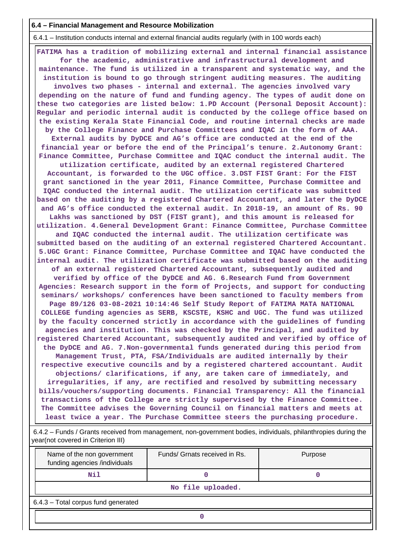### **6.4 – Financial Management and Resource Mobilization**

6.4.1 – Institution conducts internal and external financial audits regularly (with in 100 words each)

 **FATIMA has a tradition of mobilizing external and internal financial assistance for the academic, administrative and infrastructural development and maintenance. The fund is utilized in a transparent and systematic way, and the institution is bound to go through stringent auditing measures. The auditing involves two phases - internal and external. The agencies involved vary depending on the nature of fund and funding agency. The types of audit done on these two categories are listed below: 1.PD Account (Personal Deposit Account): Regular and periodic internal audit is conducted by the college office based on the existing Kerala State Financial Code, and routine internal checks are made by the College Finance and Purchase Committees and IQAC in the form of AAA. External audits by DyDCE and AG's office are conducted at the end of the financial year or before the end of the Principal's tenure. 2.Autonomy Grant: Finance Committee, Purchase Committee and IQAC conduct the internal audit. The utilization certificate, audited by an external registered Chartered Accountant, is forwarded to the UGC office. 3.DST FIST Grant: For the FIST grant sanctioned in the year 2011, Finance Committee, Purchase Committee and IQAC conducted the internal audit. The utilization certificate was submitted based on the auditing by a registered Chartered Accountant, and later the DyDCE and AG's office conducted the external audit. In 2018-19, an amount of Rs. 90 Lakhs was sanctioned by DST (FIST grant), and this amount is released for utilization. 4.General Development Grant: Finance Committee, Purchase Committee and IQAC conducted the internal audit. The utilization certificate was submitted based on the auditing of an external registered Chartered Accountant. 5.UGC Grant: Finance Committee, Purchase Committee and IQAC have conducted the internal audit. The utilization certificate was submitted based on the auditing of an external registered Chartered Accountant, subsequently audited and verified by office of the DyDCE and AG. 6.Research Fund from Government Agencies: Research support in the form of Projects, and support for conducting seminars/ workshops/ conferences have been sanctioned to faculty members from Page 89/126 03-08-2021 10:14:46 Self Study Report of FATIMA MATA NATIONAL COLLEGE funding agencies as SERB, KSCSTE, KSHC and UGC. The fund was utilized by the faculty concerned strictly in accordance with the guidelines of funding agencies and institution. This was checked by the Principal, and audited by registered Chartered Accountant, subsequently audited and verified by office of the DyDCE and AG. 7.Non-governmental funds generated during this period from Management Trust, PTA, FSA/Individuals are audited internally by their respective executive councils and by a registered chartered accountant. Audit objections/ clarifications, if any, are taken care of immediately, and irregularities, if any, are rectified and resolved by submitting necessary bills/vouchers/supporting documents. Financial Transparency: All the financial transactions of the College are strictly supervised by the Finance Committee. The Committee advises the Governing Council on financial matters and meets at least twice a year. The Purchase Committee steers the purchasing procedure.**

 6.4.2 – Funds / Grants received from management, non-government bodies, individuals, philanthropies during the year(not covered in Criterion III)

| Name of the non government<br>funding agencies /individuals | Funds/ Grnats received in Rs. | Purpose |  |  |  |  |  |
|-------------------------------------------------------------|-------------------------------|---------|--|--|--|--|--|
| N11                                                         |                               |         |  |  |  |  |  |
|                                                             | No file uploaded.             |         |  |  |  |  |  |
| 6.4.3 - Total corpus fund generated                         |                               |         |  |  |  |  |  |
|                                                             |                               |         |  |  |  |  |  |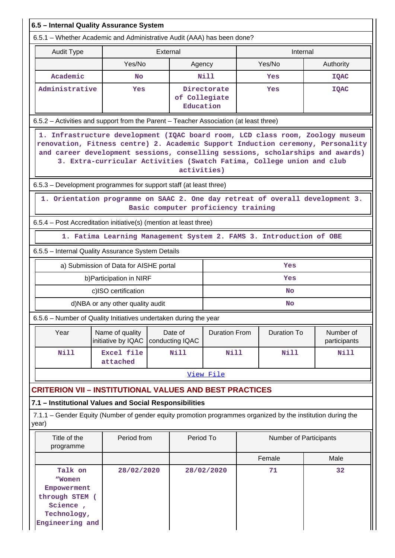| 6.5 - Internal Quality Assurance System                                                                                                                                                                                                                                                                                                     |                                                                     |          |                            |                                     |      |                        |                                                                               |  |  |  |
|---------------------------------------------------------------------------------------------------------------------------------------------------------------------------------------------------------------------------------------------------------------------------------------------------------------------------------------------|---------------------------------------------------------------------|----------|----------------------------|-------------------------------------|------|------------------------|-------------------------------------------------------------------------------|--|--|--|
| 6.5.1 – Whether Academic and Administrative Audit (AAA) has been done?                                                                                                                                                                                                                                                                      |                                                                     |          |                            |                                     |      |                        |                                                                               |  |  |  |
| <b>Audit Type</b>                                                                                                                                                                                                                                                                                                                           |                                                                     | External |                            |                                     |      | Internal               |                                                                               |  |  |  |
|                                                                                                                                                                                                                                                                                                                                             | Yes/No                                                              |          | Agency                     |                                     |      | Yes/No                 | Authority                                                                     |  |  |  |
| Academic                                                                                                                                                                                                                                                                                                                                    | <b>No</b>                                                           |          |                            | Nill                                |      | Yes                    | <b>IQAC</b>                                                                   |  |  |  |
| Administrative                                                                                                                                                                                                                                                                                                                              | <b>Yes</b>                                                          |          | of Collegiate<br>Education | Directorate<br>Yes                  |      |                        | <b>IQAC</b>                                                                   |  |  |  |
| 6.5.2 - Activities and support from the Parent - Teacher Association (at least three)                                                                                                                                                                                                                                                       |                                                                     |          |                            |                                     |      |                        |                                                                               |  |  |  |
| 1. Infrastructure development (IQAC board room, LCD class room, Zoology museum<br>renovation, Fitness centre) 2. Academic Support Induction ceremony, Personality<br>and career development sessions, conselling sessions, scholarships and awards)<br>3. Extra-curricular Activities (Swatch Fatima, College union and club<br>activities) |                                                                     |          |                            |                                     |      |                        |                                                                               |  |  |  |
| 6.5.3 – Development programmes for support staff (at least three)                                                                                                                                                                                                                                                                           |                                                                     |          |                            |                                     |      |                        |                                                                               |  |  |  |
|                                                                                                                                                                                                                                                                                                                                             |                                                                     |          |                            | Basic computer proficiency training |      |                        | 1. Orientation programme on SAAC 2. One day retreat of overall development 3. |  |  |  |
| 6.5.4 - Post Accreditation initiative(s) (mention at least three)                                                                                                                                                                                                                                                                           |                                                                     |          |                            |                                     |      |                        |                                                                               |  |  |  |
|                                                                                                                                                                                                                                                                                                                                             | 1. Fatima Learning Management System 2. FAMS 3. Introduction of OBE |          |                            |                                     |      |                        |                                                                               |  |  |  |
| 6.5.5 - Internal Quality Assurance System Details                                                                                                                                                                                                                                                                                           |                                                                     |          |                            |                                     |      |                        |                                                                               |  |  |  |
|                                                                                                                                                                                                                                                                                                                                             | a) Submission of Data for AISHE portal                              |          |                            |                                     |      | Yes                    |                                                                               |  |  |  |
|                                                                                                                                                                                                                                                                                                                                             | b) Participation in NIRF                                            |          |                            |                                     |      | Yes                    |                                                                               |  |  |  |
|                                                                                                                                                                                                                                                                                                                                             | c)ISO certification                                                 |          |                            |                                     |      | <b>No</b>              |                                                                               |  |  |  |
|                                                                                                                                                                                                                                                                                                                                             | d)NBA or any other quality audit                                    |          |                            |                                     |      | <b>No</b>              |                                                                               |  |  |  |
| 6.5.6 - Number of Quality Initiatives undertaken during the year                                                                                                                                                                                                                                                                            |                                                                     |          |                            |                                     |      |                        |                                                                               |  |  |  |
| Year                                                                                                                                                                                                                                                                                                                                        | Name of quality<br>initiative by IQAC                               |          | Date of<br>conducting IQAC | <b>Duration From</b>                |      | <b>Duration To</b>     | Number of<br>participants                                                     |  |  |  |
| Nill                                                                                                                                                                                                                                                                                                                                        | <b>Excel file</b><br>attached                                       |          | <b>Nill</b>                | <b>Nill</b>                         |      | <b>Nill</b>            | <b>Nill</b>                                                                   |  |  |  |
|                                                                                                                                                                                                                                                                                                                                             |                                                                     |          |                            | View File                           |      |                        |                                                                               |  |  |  |
| <b>CRITERION VII - INSTITUTIONAL VALUES AND BEST PRACTICES</b>                                                                                                                                                                                                                                                                              |                                                                     |          |                            |                                     |      |                        |                                                                               |  |  |  |
| 7.1 - Institutional Values and Social Responsibilities                                                                                                                                                                                                                                                                                      |                                                                     |          |                            |                                     |      |                        |                                                                               |  |  |  |
| 7.1.1 – Gender Equity (Number of gender equity promotion programmes organized by the institution during the<br>year)                                                                                                                                                                                                                        |                                                                     |          |                            |                                     |      |                        |                                                                               |  |  |  |
| Title of the<br>Period from<br>programme                                                                                                                                                                                                                                                                                                    |                                                                     |          |                            | Period To                           |      | Number of Participants |                                                                               |  |  |  |
|                                                                                                                                                                                                                                                                                                                                             |                                                                     |          |                            | Female                              | Male |                        |                                                                               |  |  |  |
| Talk on<br>28/02/2020<br>"Women<br>Empowerment<br>through STEM (<br>Science,<br>Technology,<br>Engineering and                                                                                                                                                                                                                              |                                                                     |          |                            | 28/02/2020                          |      | 71                     | 32                                                                            |  |  |  |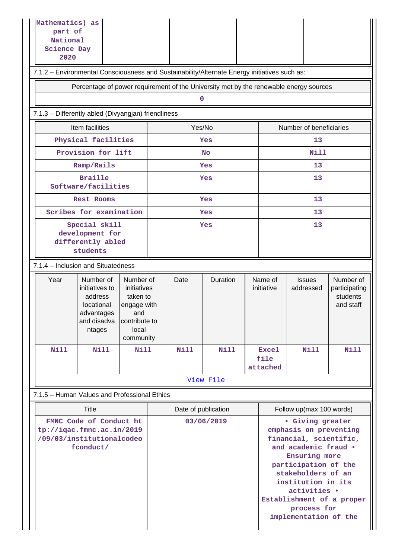| Mathematics) as<br>part of<br>National<br><b>Science Day</b><br>2020 |                                                                                                                                                                                                  |      |  |                     |             |  |                       |                                                                                                                                                                                                                                                                        |                                                     |  |  |
|----------------------------------------------------------------------|--------------------------------------------------------------------------------------------------------------------------------------------------------------------------------------------------|------|--|---------------------|-------------|--|-----------------------|------------------------------------------------------------------------------------------------------------------------------------------------------------------------------------------------------------------------------------------------------------------------|-----------------------------------------------------|--|--|
|                                                                      | 7.1.2 - Environmental Consciousness and Sustainability/Alternate Energy initiatives such as:                                                                                                     |      |  |                     |             |  |                       |                                                                                                                                                                                                                                                                        |                                                     |  |  |
|                                                                      | Percentage of power requirement of the University met by the renewable energy sources                                                                                                            |      |  |                     |             |  |                       |                                                                                                                                                                                                                                                                        |                                                     |  |  |
| 0                                                                    |                                                                                                                                                                                                  |      |  |                     |             |  |                       |                                                                                                                                                                                                                                                                        |                                                     |  |  |
| 7.1.3 - Differently abled (Divyangjan) friendliness                  |                                                                                                                                                                                                  |      |  |                     |             |  |                       |                                                                                                                                                                                                                                                                        |                                                     |  |  |
| Item facilities<br>Yes/No<br>Number of beneficiaries                 |                                                                                                                                                                                                  |      |  |                     |             |  |                       |                                                                                                                                                                                                                                                                        |                                                     |  |  |
|                                                                      | Physical facilities                                                                                                                                                                              |      |  |                     | Yes         |  |                       | 13                                                                                                                                                                                                                                                                     |                                                     |  |  |
|                                                                      | Provision for lift                                                                                                                                                                               |      |  |                     | <b>No</b>   |  |                       | Nill                                                                                                                                                                                                                                                                   |                                                     |  |  |
|                                                                      | Ramp/Rails                                                                                                                                                                                       |      |  |                     | Yes         |  |                       | 13                                                                                                                                                                                                                                                                     |                                                     |  |  |
|                                                                      | <b>Braille</b><br>Software/facilities                                                                                                                                                            |      |  |                     | Yes         |  |                       | 13                                                                                                                                                                                                                                                                     |                                                     |  |  |
|                                                                      | <b>Rest Rooms</b>                                                                                                                                                                                |      |  |                     | Yes         |  |                       | 13                                                                                                                                                                                                                                                                     |                                                     |  |  |
|                                                                      | Scribes for examination                                                                                                                                                                          |      |  |                     | Yes         |  |                       | 13                                                                                                                                                                                                                                                                     |                                                     |  |  |
|                                                                      | Special skill<br>development for<br>differently abled<br>students                                                                                                                                |      |  |                     | Yes         |  |                       | 13                                                                                                                                                                                                                                                                     |                                                     |  |  |
|                                                                      | 7.1.4 - Inclusion and Situatedness                                                                                                                                                               |      |  |                     |             |  |                       |                                                                                                                                                                                                                                                                        |                                                     |  |  |
| Year                                                                 | Number of<br>Number of<br>initiatives to<br>initiatives<br>address<br>taken to<br>locational<br>engage with<br>advantages<br>and<br>and disadva<br>contribute to<br>local<br>ntages<br>community |      |  | Date                | Duration    |  | Name of<br>initiative | <b>Issues</b><br>addressed                                                                                                                                                                                                                                             | Number of<br>participating<br>students<br>and staff |  |  |
| <b>Nill</b>                                                          | <b>Nill</b>                                                                                                                                                                                      | Nill |  | Nill                | <b>Nill</b> |  | <b>Excel</b><br>file  | <b>Nill</b>                                                                                                                                                                                                                                                            | <b>Nill</b>                                         |  |  |
|                                                                      |                                                                                                                                                                                                  |      |  |                     |             |  | attached              |                                                                                                                                                                                                                                                                        |                                                     |  |  |
|                                                                      |                                                                                                                                                                                                  |      |  |                     | View File   |  |                       |                                                                                                                                                                                                                                                                        |                                                     |  |  |
|                                                                      | 7.1.5 - Human Values and Professional Ethics                                                                                                                                                     |      |  |                     |             |  |                       |                                                                                                                                                                                                                                                                        |                                                     |  |  |
|                                                                      | Title                                                                                                                                                                                            |      |  | Date of publication |             |  |                       | Follow up(max 100 words)                                                                                                                                                                                                                                               |                                                     |  |  |
|                                                                      | FMNC Code of Conduct ht<br>tp://iqac.fmnc.ac.in/2019<br>/09/03/institutionalcodeo<br>fconduct/                                                                                                   |      |  |                     | 03/06/2019  |  |                       | · Giving greater<br>emphasis on preventing<br>financial, scientific,<br>and academic fraud .<br>Ensuring more<br>participation of the<br>stakeholders of an<br>institution in its<br>activities .<br>Establishment of a proper<br>process for<br>implementation of the |                                                     |  |  |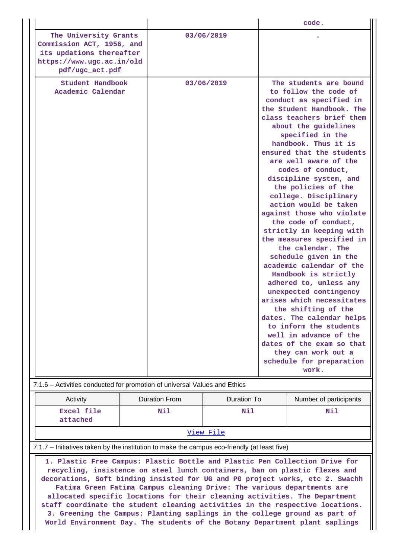|                                                                                                                                                                                                                                                                                                                                                                                                                                                                                     |  | code.                |                    |  |                                                                                                                                                                                                                                                                                                                                                                                                                                                                                                                                                                                                                                                                                                                                                                                                                                                                                          |  |  |
|-------------------------------------------------------------------------------------------------------------------------------------------------------------------------------------------------------------------------------------------------------------------------------------------------------------------------------------------------------------------------------------------------------------------------------------------------------------------------------------|--|----------------------|--------------------|--|------------------------------------------------------------------------------------------------------------------------------------------------------------------------------------------------------------------------------------------------------------------------------------------------------------------------------------------------------------------------------------------------------------------------------------------------------------------------------------------------------------------------------------------------------------------------------------------------------------------------------------------------------------------------------------------------------------------------------------------------------------------------------------------------------------------------------------------------------------------------------------------|--|--|
| The University Grants<br>Commission ACT, 1956, and<br>its updations thereafter<br>https://www.ugc.ac.in/old<br>pdf/ugc_act.pdf                                                                                                                                                                                                                                                                                                                                                      |  |                      | 03/06/2019         |  |                                                                                                                                                                                                                                                                                                                                                                                                                                                                                                                                                                                                                                                                                                                                                                                                                                                                                          |  |  |
| Student Handbook<br>Academic Calendar                                                                                                                                                                                                                                                                                                                                                                                                                                               |  |                      | 03/06/2019         |  | The students are bound<br>to follow the code of<br>conduct as specified in<br>the Student Handbook. The<br>class teachers brief them<br>about the guidelines<br>specified in the<br>handbook. Thus it is<br>ensured that the students<br>are well aware of the<br>codes of conduct,<br>discipline system, and<br>the policies of the<br>college. Disciplinary<br>action would be taken<br>against those who violate<br>the code of conduct,<br>strictly in keeping with<br>the measures specified in<br>the calendar. The<br>schedule given in the<br>academic calendar of the<br>Handbook is strictly<br>adhered to, unless any<br>unexpected contingency<br>arises which necessitates<br>the shifting of the<br>dates. The calendar helps<br>to inform the students<br>well in advance of the<br>dates of the exam so that<br>they can work out a<br>schedule for preparation<br>work. |  |  |
| 7.1.6 - Activities conducted for promotion of universal Values and Ethics                                                                                                                                                                                                                                                                                                                                                                                                           |  |                      |                    |  |                                                                                                                                                                                                                                                                                                                                                                                                                                                                                                                                                                                                                                                                                                                                                                                                                                                                                          |  |  |
| Activity                                                                                                                                                                                                                                                                                                                                                                                                                                                                            |  | <b>Duration From</b> | <b>Duration To</b> |  | Number of participants                                                                                                                                                                                                                                                                                                                                                                                                                                                                                                                                                                                                                                                                                                                                                                                                                                                                   |  |  |
| Excel file<br>attached                                                                                                                                                                                                                                                                                                                                                                                                                                                              |  | Nil                  | Nil                |  | Nil                                                                                                                                                                                                                                                                                                                                                                                                                                                                                                                                                                                                                                                                                                                                                                                                                                                                                      |  |  |
|                                                                                                                                                                                                                                                                                                                                                                                                                                                                                     |  |                      | View File          |  |                                                                                                                                                                                                                                                                                                                                                                                                                                                                                                                                                                                                                                                                                                                                                                                                                                                                                          |  |  |
| 7.1.7 - Initiatives taken by the institution to make the campus eco-friendly (at least five)                                                                                                                                                                                                                                                                                                                                                                                        |  |                      |                    |  |                                                                                                                                                                                                                                                                                                                                                                                                                                                                                                                                                                                                                                                                                                                                                                                                                                                                                          |  |  |
| 1. Plastic Free Campus: Plastic Bottle and Plastic Pen Collection Drive for<br>recycling, insistence on steel lunch containers, ban on plastic flexes and<br>decorations, Soft binding insisted for UG and PG project works, etc 2. Swachh<br>Fatima Green Fatima Campus cleaning Drive: The various departments are<br>allocated specific locations for their cleaning activities. The Department<br>staff coordinate the student cleaning activities in the respective locations. |  |                      |                    |  |                                                                                                                                                                                                                                                                                                                                                                                                                                                                                                                                                                                                                                                                                                                                                                                                                                                                                          |  |  |

**3. Greening the Campus: Planting saplings in the college ground as part of World Environment Day. The students of the Botany Department plant saplings**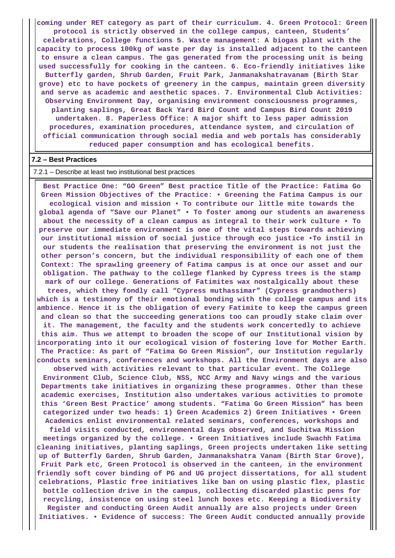**coming under RET category as part of their curriculum. 4. Green Protocol: Green protocol is strictly observed in the college campus, canteen, Students' celebrations, College functions 5. Waste management: A biogas plant with the capacity to process 100kg of waste per day is installed adjacent to the canteen to ensure a clean campus. The gas generated from the processing unit is being used successfully for cooking in the canteen. 6. Eco-friendly initiatives like Butterfly garden, Shrub Garden, Fruit Park, Janmanakshatravanam (Birth Star grove) etc to have pockets of greenery in the campus, maintain green diversity and serve as academic and aesthetic spaces. 7. Environmental Club Activities: Observing Environment Day, organising environment consciousness programmes, planting saplings, Great Back Yard Bird Count and Campus Bird Count 2019 undertaken. 8. Paperless Office: A major shift to less paper admission procedures, examination procedures, attendance system, and circulation of official communication through social media and web portals has considerably reduced paper consumption and has ecological benefits.**

#### **7.2 – Best Practices**

#### 7.2.1 – Describe at least two institutional best practices

 **Best Practice One: "GO Green" Best practice Title of the Practice: Fatima Go Green Mission Objectives of the Practice: • Greening the Fatima Campus is our ecological vision and mission • To contribute our little mite towards the global agenda of "Save our Planet" • To foster among our students an awareness about the necessity of a clean campus as integral to their work culture • To preserve our immediate environment is one of the vital steps towards achieving our institutional mission of social justice through eco justice •To instil in our students the realisation that preserving the environment is not just the other person's concern, but the individual responsibility of each one of them Context: The sprawling greenery of Fatima campus is at once our asset and our obligation. The pathway to the college flanked by Cypress trees is the stamp mark of our college. Generations of Fatimites wax nostalgically about these trees, which they fondly call "Cypress muthassimar" (Cypress grandmothers) which is a testimony of their emotional bonding with the college campus and its ambience. Hence it is the obligation of every Fatimite to keep the campus green and clean so that the succeeding generations too can proudly stake claim over it. The management, the faculty and the students work concertedly to achieve this aim. Thus we attempt to broaden the scope of our Institutional vision by incorporating into it our ecological vision of fostering love for Mother Earth. The Practice: As part of "Fatima Go Green Mission", our Institution regularly conducts seminars, conferences and workshops. All the Environment days are also observed with activities relevant to that particular event. The College**

**Environment Club, Science Club, NSS, NCC Army and Navy wings and the various Departments take initiatives in organizing these programmes. Other than these academic exercises, Institution also undertakes various activities to promote this 'Green Best Practice' among students. "Fatima Go Green Mission" has been categorized under two heads: 1) Green Academics 2) Green Initiatives • Green Academics enlist environmental related seminars, conferences, workshops and**

**field visits conducted, environmental days observed, and Suchitwa Mission meetings organized by the college. • Green Initiatives include Swachh Fatima cleaning initiatives, planting saplings, Green projects undertaken like setting up of Butterfly Garden, Shrub Garden, Janmanakshatra Vanam (Birth Star Grove), Fruit Park etc, Green Protocol is observed in the canteen, in the environment friendly soft cover binding of PG and UG project dissertations, for all student celebrations, Plastic free initiatives like ban on using plastic flex, plastic bottle collection drive in the campus, collecting discarded plastic pens for recycling, insistence on using steel lunch boxes etc. Keeping a Biodiversity Register and conducting Green Audit annually are also projects under Green Initiatives. • Evidence of success: The Green Audit conducted annually provide**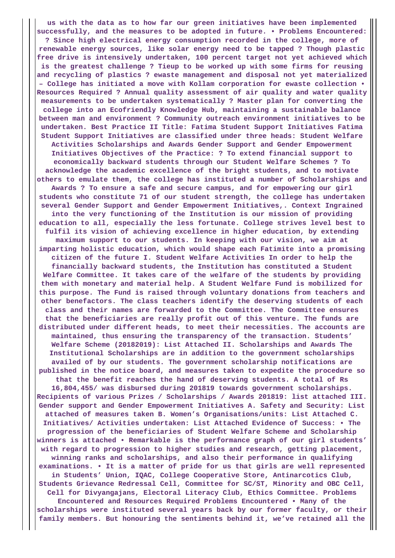**us with the data as to how far our green initiatives have been implemented successfully, and the measures to be adopted in future. • Problems Encountered: ? Since high electrical energy consumption recorded in the college, more of renewable energy sources, like solar energy need to be tapped ? Though plastic free drive is intensively undertaken, 100 percent target not yet achieved which is the greatest challenge ? Tieup to be worked up with some firms for reusing and recycling of plastics ? ewaste management and disposal not yet materialized – College has initiated a move with Kollam corporation for ewaste collection • Resources Required ? Annual quality assessment of air quality and water quality measurements to be undertaken systematically ? Master plan for converting the college into an Ecofriendly Knowledge Hub, maintaining a sustainable balance between man and environment ? Community outreach environment initiatives to be undertaken. Best Practice II Title: Fatima Student Support Initiatives Fatima Student Support Initiatives are classified under three heads: Student Welfare Activities Scholarships and Awards Gender Support and Gender Empowerment Initiatives Objectives of the Practice: ? To extend financial support to economically backward students through our Student Welfare Schemes ? To acknowledge the academic excellence of the bright students, and to motivate others to emulate them, the college has instituted a number of Scholarships and Awards ? To ensure a safe and secure campus, and for empowering our girl students who constitute 71 of our student strength, the college has undertaken several Gender Support and Gender Empowerment Initiatives,. Context Ingrained into the very functioning of the Institution is our mission of providing education to all, especially the less fortunate. College strives level best to fulfil its vision of achieving excellence in higher education, by extending maximum support to our students. In keeping with our vision, we aim at imparting holistic education, which would shape each Fatimite into a promising citizen of the future I. Student Welfare Activities In order to help the financially backward students, the Institution has constituted a Student Welfare Committee. It takes care of the welfare of the students by providing them with monetary and material help. A Student Welfare Fund is mobilized for this purpose. The Fund is raised through voluntary donations from teachers and other benefactors. The class teachers identify the deserving students of each class and their names are forwarded to the Committee. The Committee ensures that the beneficiaries are really profit out of this venture. The funds are distributed under different heads, to meet their necessities. The accounts are maintained, thus ensuring the transparency of the transaction. Students' Welfare Scheme (20182019): List Attached II. Scholarships and Awards The Institutional Scholarships are in addition to the government scholarships availed of by our students. The government scholarship notifications are published in the notice board, and measures taken to expedite the procedure so that the benefit reaches the hand of deserving students. A total of Rs 16,804,455/ was disbursed during 201819 towards government scholarships. Recipients of various Prizes / Scholarships / Awards 201819: list attached III. Gender support and Gender Empowerment Initiatives A. Safety and Security: List attached of measures taken B. Women's Organisations/units: List Attached C. Initiatives/ Activities undertaken: List Attached Evidence of Success: • The progression of the beneficiaries of Student Welfare Scheme and Scholarship winners is attached • Remarkable is the performance graph of our girl students' with regard to progression to higher studies and research, getting placement, winning ranks and scholarships, and also their performance in qualifying examinations. • It is a matter of pride for us that girls are well represented in Students' Union, IQAC, College Cooperative Store, Antinarcotics Club, Students Grievance Redressal Cell, Committee for SC/ST, Minority and OBC Cell, Cell for Divyangajans, Electoral Literacy Club, Ethics Committee. Problems Encountered and Resources Required Problems Encountered • Many of the scholarships were instituted several years back by our former faculty, or their family members. But honouring the sentiments behind it, we've retained all the**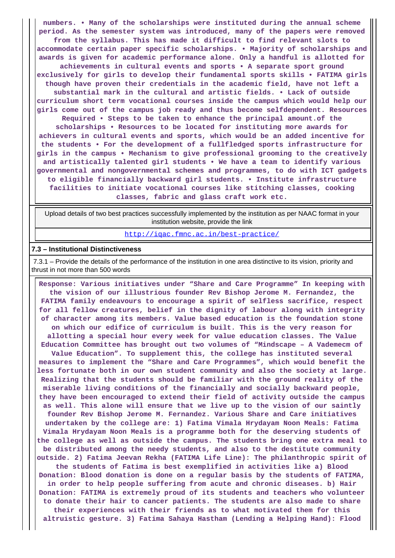**numbers. • Many of the scholarships were instituted during the annual scheme period. As the semester system was introduced, many of the papers were removed from the syllabus. This has made it difficult to find relevant slots to accommodate certain paper specific scholarships. • Majority of scholarships and awards is given for academic performance alone. Only a handful is allotted for achievements in cultural events and sports • A separate sport ground exclusively for girls to develop their fundamental sports skills • FATIMA girls though have proven their credentials in the academic field, have not left a substantial mark in the cultural and artistic fields. • Lack of outside curriculum short term vocational courses inside the campus which would help our girls come out of the campus job ready and thus become selfdependent. Resources Required • Steps to be taken to enhance the principal amount.of the scholarships • Resources to be located for instituting more awards for achievers in cultural events and sports, which would be an added incentive for the students • For the development of a fullfledged sports infrastructure for girls in the campus • Mechanism to give professional grooming to the creatively and artistically talented girl students • We have a team to identify various governmental and nongovernmental schemes and programmes, to do with ICT gadgets to eligible financially backward girl students. • Institute infrastructure facilities to initiate vocational courses like stitching classes, cooking classes, fabric and glass craft work etc.**

 Upload details of two best practices successfully implemented by the institution as per NAAC format in your institution website, provide the link

<http://iqac.fmnc.ac.in/best-practice/>

#### **7.3 – Institutional Distinctiveness**

 7.3.1 – Provide the details of the performance of the institution in one area distinctive to its vision, priority and thrust in not more than 500 words

 **Response: Various initiatives under "Share and Care Programme" In keeping with the vision of our illustrious founder Rev Bishop Jerome M. Fernandez, the FATIMA family endeavours to encourage a spirit of selfless sacrifice, respect for all fellow creatures, belief in the dignity of labour along with integrity of character among its members. Value based education is the foundation stone on which our edifice of curriculum is built. This is the very reason for allotting a special hour every week for value education classes. The Value Education Committee has brought out two volumes of "Mindscape – A Vademecm of Value Education". To supplement this, the college has instituted several measures to implement the "Share and Care Programmes", which would benefit the less fortunate both in our own student community and also the society at large. Realizing that the students should be familiar with the ground reality of the miserable living conditions of the financially and socially backward people, they have been encouraged to extend their field of activity outside the campus as well. This alone will ensure that we live up to the vision of our saintly founder Rev Bishop Jerome M. Fernandez. Various Share and Care initiatives undertaken by the college are: 1) Fatima Vimala Hrydayam Noon Meals: Fatima Vimala Hrydayam Noon Meals is a programme both for the deserving students of the college as well as outside the campus. The students bring one extra meal to be distributed among the needy students, and also to the destitute community outside. 2) Fatima Jeevan Rekha (FATIMA Life Line): The philanthropic spirit of the students of Fatima is best exemplified in activities like a) Blood Donation: Blood donation is done on a regular basis by the students of FATIMA, in order to help people suffering from acute and chronic diseases. b) Hair Donation: FATIMA is extremely proud of its students and teachers who volunteer to donate their hair to cancer patients. The students are also made to share their experiences with their friends as to what motivated them for this altruistic gesture. 3) Fatima Sahaya Hastham (Lending a Helping Hand): Flood**